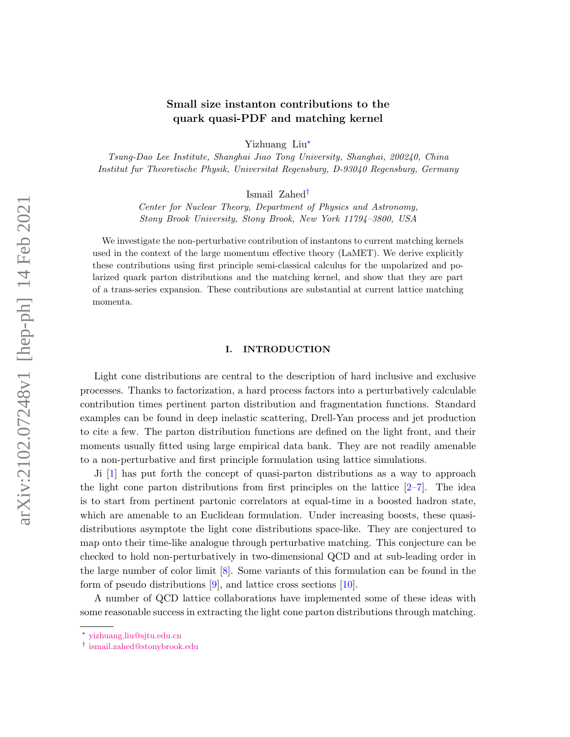# Small size instanton contributions to the quark quasi-PDF and matching kernel

Yizhuang Liu[∗](#page-0-0)

Tsung-Dao Lee Institute, Shanghai Jiao Tong University, Shanghai, 200240, China Institut fur Theoretische Physik, Universitat Regensburg, D-93040 Regensburg, Germany

Ismail Zahed[†](#page-0-1)

Center for Nuclear Theory, Department of Physics and Astronomy, Stony Brook University, Stony Brook, New York 11794–3800, USA

We investigate the non-perturbative contribution of instantons to current matching kernels used in the context of the large momentum effective theory (LaMET). We derive explicitly these contributions using first principle semi-classical calculus for the unpolarized and polarized quark parton distributions and the matching kernel, and show that they are part of a trans-series expansion. These contributions are substantial at current lattice matching momenta.

### I. INTRODUCTION

Light cone distributions are central to the description of hard inclusive and exclusive processes. Thanks to factorization, a hard process factors into a perturbatively calculable contribution times pertinent parton distribution and fragmentation functions. Standard examples can be found in deep inelastic scattering, Drell-Yan process and jet production to cite a few. The parton distribution functions are defined on the light front, and their moments usually fitted using large empirical data bank. They are not readily amenable to a non-perturbative and first principle formulation using lattice simulations.

Ji [\[1\]](#page-22-0) has put forth the concept of quasi-parton distributions as a way to approach the light cone parton distributions from first principles on the lattice  $[2-7]$  $[2-7]$ . The idea is to start from pertinent partonic correlators at equal-time in a boosted hadron state, which are amenable to an Euclidean formulation. Under increasing boosts, these quasidistributions asymptote the light cone distributions space-like. They are conjectured to map onto their time-like analogue through perturbative matching. This conjecture can be checked to hold non-perturbatively in two-dimensional QCD and at sub-leading order in the large number of color limit [\[8\]](#page-22-3). Some variants of this formulation can be found in the form of pseudo distributions  $[9]$ , and lattice cross sections  $[10]$ .

A number of QCD lattice collaborations have implemented some of these ideas with some reasonable success in extracting the light cone parton distributions through matching.

<span id="page-0-0"></span><sup>∗</sup> [yizhuang.liu@sjtu.edu.cn](mailto:yizhuang.liu@sjtu.edu.cn)

<span id="page-0-1"></span><sup>†</sup> [ismail.zahed@stonybrook.edu](mailto:ismail.zahed@stonybrook.edu)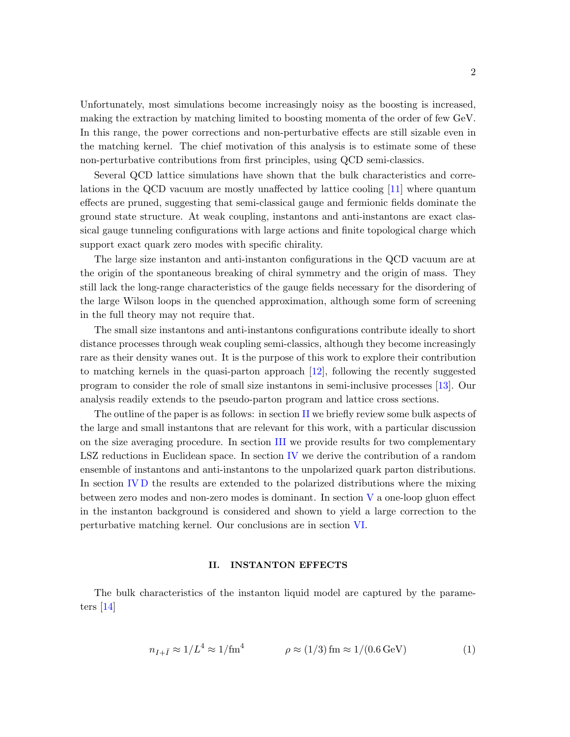Unfortunately, most simulations become increasingly noisy as the boosting is increased, making the extraction by matching limited to boosting momenta of the order of few GeV. In this range, the power corrections and non-perturbative effects are still sizable even in the matching kernel. The chief motivation of this analysis is to estimate some of these non-perturbative contributions from first principles, using QCD semi-classics.

Several QCD lattice simulations have shown that the bulk characteristics and correlations in the QCD vacuum are mostly unaffected by lattice cooling [\[11\]](#page-23-0) where quantum effects are pruned, suggesting that semi-classical gauge and fermionic fields dominate the ground state structure. At weak coupling, instantons and anti-instantons are exact classical gauge tunneling configurations with large actions and finite topological charge which support exact quark zero modes with specific chirality.

The large size instanton and anti-instanton configurations in the QCD vacuum are at the origin of the spontaneous breaking of chiral symmetry and the origin of mass. They still lack the long-range characteristics of the gauge fields necessary for the disordering of the large Wilson loops in the quenched approximation, although some form of screening in the full theory may not require that.

The small size instantons and anti-instantons configurations contribute ideally to short distance processes through weak coupling semi-classics, although they become increasingly rare as their density wanes out. It is the purpose of this work to explore their contribution to matching kernels in the quasi-parton approach [\[12\]](#page-23-1), following the recently suggested program to consider the role of small size instantons in semi-inclusive processes [\[13\]](#page-23-2). Our analysis readily extends to the pseudo-parton program and lattice cross sections.

The outline of the paper is as follows: in section [II](#page-1-0) we briefly review some bulk aspects of the large and small instantons that are relevant for this work, with a particular discussion on the size averaging procedure. In section [III](#page-2-0) we provide results for two complementary LSZ reductions in Euclidean space. In section [IV](#page-6-0) we derive the contribution of a random ensemble of instantons and anti-instantons to the unpolarized quark parton distributions. In section [IV D](#page-11-0) the results are extended to the polarized distributions where the mixing between zero modes and non-zero modes is dominant. In section [V](#page-12-0) a one-loop gluon effect in the instanton background is considered and shown to yield a large correction to the perturbative matching kernel. Our conclusions are in section [VI.](#page-17-0)

### <span id="page-1-0"></span>II. INSTANTON EFFECTS

The bulk characteristics of the instanton liquid model are captured by the parameters [\[14\]](#page-23-3)

<span id="page-1-1"></span>
$$
n_{I+\bar{I}} \approx 1/L^4 \approx 1/\text{fm}^4 \qquad \rho \approx (1/3) \,\text{fm} \approx 1/(0.6 \,\text{GeV}) \tag{1}
$$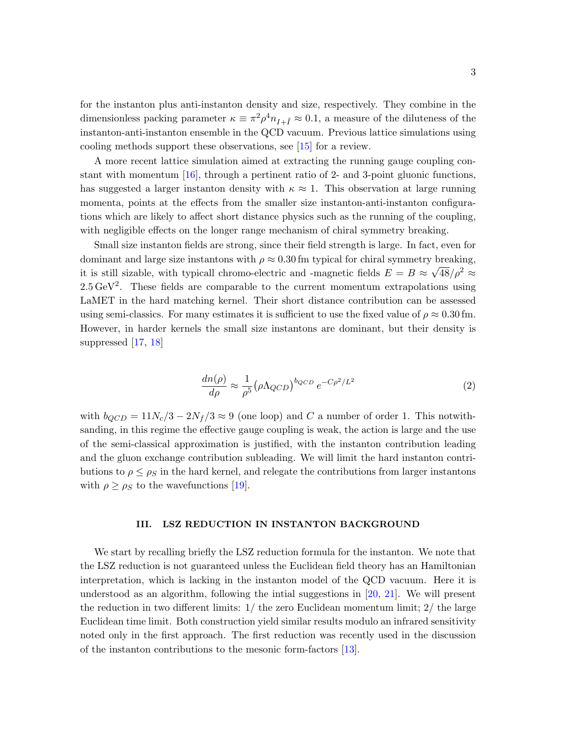for the instanton plus anti-instanton density and size, respectively. They combine in the dimensionless packing parameter  $\kappa \equiv \pi^2 \rho^4 n_{I+\bar{I}} \approx 0.1$ , a measure of the diluteness of the instanton-anti-instanton ensemble in the QCD vacuum. Previous lattice simulations using cooling methods support these observations, see [\[15\]](#page-23-4) for a review.

A more recent lattice simulation aimed at extracting the running gauge coupling constant with momentum  $[16]$ , through a pertinent ratio of 2- and 3-point gluonic functions, has suggested a larger instanton density with  $\kappa \approx 1$ . This observation at large running momenta, points at the effects from the smaller size instanton-anti-instanton configurations which are likely to affect short distance physics such as the running of the coupling, with negligible effects on the longer range mechanism of chiral symmetry breaking.

Small size instanton fields are strong, since their field strength is large. In fact, even for dominant and large size instantons with  $\rho \approx 0.30$  fm typical for chiral symmetry breaking, it is still sizable, with typicall chromo-electric and -magnetic fields  $E = B \approx \sqrt{48}/\rho^2 \approx$  $2.5 \,\text{GeV}^2$ . These fields are comparable to the current momentum extrapolations using LaMET in the hard matching kernel. Their short distance contribution can be assessed using semi-classics. For many estimates it is sufficient to use the fixed value of  $\rho \approx 0.30$  fm. However, in harder kernels the small size instantons are dominant, but their density is suppressed [\[17,](#page-23-6) [18\]](#page-23-7)

$$
\frac{dn(\rho)}{d\rho} \approx \frac{1}{\rho^5} \left(\rho \Lambda_{QCD}\right)^{b_{QCD}} e^{-C\rho^2/L^2} \tag{2}
$$

with  $b_{QCD} = 11N_c/3 - 2N_f/3 \approx 9$  (one loop) and C a number of order 1. This notwithsanding, in this regime the effective gauge coupling is weak, the action is large and the use of the semi-classical approximation is justified, with the instanton contribution leading and the gluon exchange contribution subleading. We will limit the hard instanton contributions to  $\rho \leq \rho_S$  in the hard kernel, and relegate the contributions from larger instantons with  $\rho \geq \rho_S$  to the wavefunctions [\[19\]](#page-23-8).

### <span id="page-2-0"></span>III. LSZ REDUCTION IN INSTANTON BACKGROUND

We start by recalling briefly the LSZ reduction formula for the instanton. We note that the LSZ reduction is not guaranteed unless the Euclidean field theory has an Hamiltonian interpretation, which is lacking in the instanton model of the QCD vacuum. Here it is understood as an algorithm, following the intial suggestions in  $[20, 21]$  $[20, 21]$  $[20, 21]$ . We will present the reduction in two different limits:  $1/$  the zero Euclidean momentum limit;  $2/$  the large Euclidean time limit. Both construction yield similar results modulo an infrared sensitivity noted only in the first approach. The first reduction was recently used in the discussion of the instanton contributions to the mesonic form-factors [\[13\]](#page-23-2).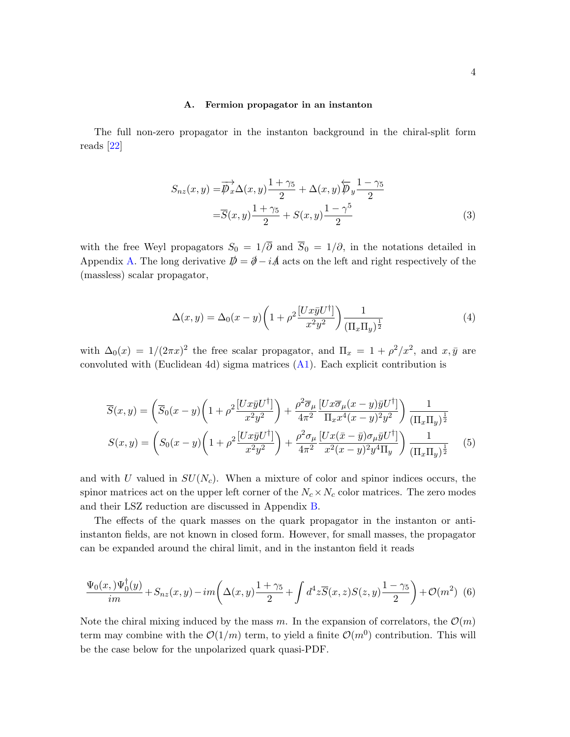#### A. Fermion propagator in an instanton

The full non-zero propagator in the instanton background in the chiral-split form reads [\[22\]](#page-23-11)

$$
S_{nz}(x,y) = \overrightarrow{\mathcal{P}_x} \Delta(x,y) \frac{1+\gamma_5}{2} + \Delta(x,y) \overleftarrow{\mathcal{P}_y} \frac{1-\gamma_5}{2}
$$

$$
= \overrightarrow{S}(x,y) \frac{1+\gamma_5}{2} + S(x,y) \frac{1-\gamma^5}{2}
$$
(3)

with the free Weyl propagators  $S_0 = 1/\overline{\partial}$  and  $\overline{S}_0 = 1/\partial$ , in the notations detailed in Appendix [A.](#page-18-0) The long derivative  $\mathbf{D} = \mathbf{\hat{\phi}} - i\mathbf{A}$  acts on the left and right respectively of the (massless) scalar propagator,

$$
\Delta(x,y) = \Delta_0(x-y) \left( 1 + \rho^2 \frac{[Ux\bar{y}U^{\dagger}]}{x^2 y^2} \right) \frac{1}{(\Pi_x \Pi_y)^{\frac{1}{2}}}
$$
(4)

with  $\Delta_0(x) = 1/(2\pi x)^2$  the free scalar propagator, and  $\Pi_x = 1 + \rho^2/x^2$ , and  $x, \bar{y}$  are convoluted with (Euclidean 4d) sigma matrices [\(A1\)](#page-18-1). Each explicit contribution is

<span id="page-3-0"></span>
$$
\overline{S}(x,y) = \left(\overline{S}_0(x-y)\left(1+\rho^2 \frac{[Ux\overline{y}U^{\dagger}]}{x^2y^2}\right) + \frac{\rho^2 \overline{\sigma}_{\mu}}{4\pi^2} \frac{[Ux\overline{\sigma}_{\mu}(x-y)\overline{y}U^{\dagger}]}{\Pi_x x^4(x-y)^2y^2}\right) \frac{1}{(\Pi_x \Pi_y)^{\frac{1}{2}}}
$$
\n
$$
S(x,y) = \left(S_0(x-y)\left(1+\rho^2 \frac{[Ux\overline{y}U^{\dagger}]}{x^2y^2}\right) + \frac{\rho^2 \sigma_{\mu}}{4\pi^2} \frac{[Ux(\overline{x}-\overline{y})\sigma_{\mu}\overline{y}U^{\dagger}]}{x^2(x-y)^2y^4\Pi_y}\right) \frac{1}{(\Pi_x \Pi_y)^{\frac{1}{2}}} \tag{5}
$$

and with U valued in  $SU(N_c)$ . When a mixture of color and spinor indices occurs, the spinor matrices act on the upper left corner of the  $N_c \times N_c$  color matrices. The zero modes and their LSZ reduction are discussed in Appendix [B.](#page-19-0)

The effects of the quark masses on the quark propagator in the instanton or antiinstanton fields, are not known in closed form. However, for small masses, the propagator can be expanded around the chiral limit, and in the instanton field it reads

<span id="page-3-1"></span>
$$
\frac{\Psi_0(x,)\Psi_0^{\dagger}(y)}{im} + S_{nz}(x,y) - im\left(\Delta(x,y)\frac{1+\gamma_5}{2} + \int d^4z \overline{S}(x,z)S(z,y)\frac{1-\gamma_5}{2}\right) + \mathcal{O}(m^2) \tag{6}
$$

Note the chiral mixing induced by the mass m. In the expansion of correlators, the  $\mathcal{O}(m)$ term may combine with the  $\mathcal{O}(1/m)$  term, to yield a finite  $\mathcal{O}(m^0)$  contribution. This will be the case below for the unpolarized quark quasi-PDF.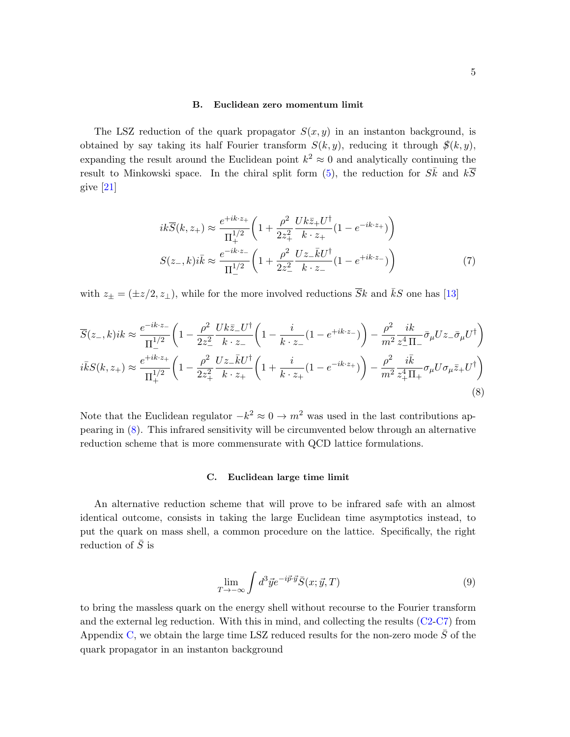### B. Euclidean zero momentum limit

The LSZ reduction of the quark propagator  $S(x, y)$  in an instanton background, is obtained by say taking its half Fourier transform  $S(k, y)$ , reducing it through  $\mathcal{S}(k, y)$ , expanding the result around the Euclidean point  $k^2 \approx 0$  and analytically continuing the result to Minkowski space. In the chiral split form [\(5\)](#page-3-0), the reduction for  $S\bar{k}$  and  $k\overline{S}$ give [\[21\]](#page-23-10)

$$
ik\overline{S}(k, z_{+}) \approx \frac{e^{+ik \cdot z_{+}}}{\Pi_{+}^{1/2}} \left(1 + \frac{\rho^{2}}{2z_{+}^{2}} \frac{Uk\overline{z}_{+}U^{\dagger}}{k \cdot z_{+}} (1 - e^{-ik \cdot z_{+}})\right)
$$

$$
S(z_{-}, k)i\overline{k} \approx \frac{e^{-ik \cdot z_{-}}}{\Pi_{-}^{1/2}} \left(1 + \frac{\rho^{2}}{2z_{-}^{2}} \frac{Uz_{-}kU^{\dagger}}{k \cdot z_{-}} (1 - e^{+ik \cdot z_{-}})\right)
$$
(7)

with  $z_{\pm} = (\pm z/2, z_{\perp})$ , while for the more involved reductions  $\overline{Sk}$  and  $\overline{k}S$  one has [\[13\]](#page-23-2)

<span id="page-4-0"></span>
$$
\overline{S}(z_{-},k)ik \approx \frac{e^{-ik \cdot z_{-}}}{\Pi_{+}^{1/2}} \left(1 - \frac{\rho^{2}}{2z_{-}^{2}} \frac{Uk \bar{z}_{-} U^{\dagger}}{k \cdot z_{-}} \left(1 - \frac{i}{k \cdot z_{-}} (1 - e^{+ik \cdot z_{-}})\right) - \frac{\rho^{2}}{m^{2}} \frac{ik}{z_{-}^{4} \Pi_{-}} \bar{\sigma}_{\mu} U z_{-} \bar{\sigma}_{\mu} U^{\dagger}\right)
$$
  

$$
i\bar{k}S(k,z_{+}) \approx \frac{e^{+ik \cdot z_{+}}}{\Pi_{+}^{1/2}} \left(1 - \frac{\rho^{2}}{2z_{+}^{2}} \frac{Uz_{-} \bar{k} U^{\dagger}}{k \cdot z_{+}} \left(1 + \frac{i}{k \cdot z_{+}} (1 - e^{-ik \cdot z_{+}})\right) - \frac{\rho^{2}}{m^{2}} \frac{i\bar{k}}{z_{+}^{4} \Pi_{+}} \sigma_{\mu} U \sigma_{\mu} \bar{z}_{+} U^{\dagger}\right)
$$
\n(8)

Note that the Euclidean regulator  $-k^2 \approx 0 \rightarrow m^2$  was used in the last contributions appearing in [\(8\)](#page-4-0). This infrared sensitivity will be circumvented below through an alternative reduction scheme that is more commensurate with QCD lattice formulations.

# C. Euclidean large time limit

An alternative reduction scheme that will prove to be infrared safe with an almost identical outcome, consists in taking the large Euclidean time asymptotics instead, to put the quark on mass shell, a common procedure on the lattice. Specifically, the right reduction of  $\overline{S}$  is

<span id="page-4-1"></span>
$$
\lim_{T \to -\infty} \int d^3 \vec{y} e^{-i\vec{p} \cdot \vec{y}} \bar{S}(x; \vec{y}, T) \tag{9}
$$

to bring the massless quark on the energy shell without recourse to the Fourier transform and the external leg reduction. With this in mind, and collecting the results [\(C2-](#page-20-0)[C7\)](#page-21-0) from Appendix [C,](#page-20-1) we obtain the large time LSZ reduced results for the non-zero mode  $\bar{S}$  of the quark propagator in an instanton background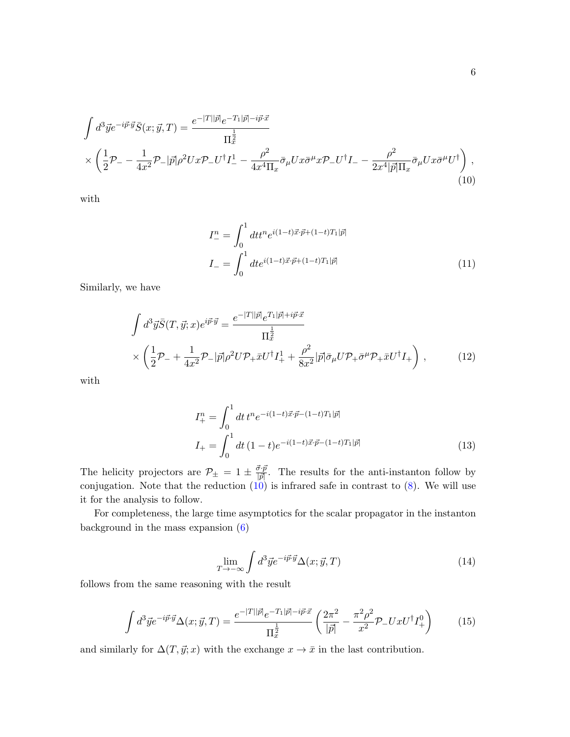$$
\int d^3 \vec{y} e^{-i\vec{p}\cdot\vec{y}} \bar{S}(x;\vec{y},T) = \frac{e^{-|T||\vec{p}|} e^{-T_1|\vec{p}| - i\vec{p}\cdot\vec{x}}}{\Pi_x^{\frac{1}{2}}} \times \left(\frac{1}{2}\mathcal{P}_{-} - \frac{1}{4x^2}\mathcal{P}_{-}|\vec{p}|\rho^2 Ux\mathcal{P}_{-}U^{\dagger}I_{-}^{1} - \frac{\rho^2}{4x^4\Pi_x}\bar{\sigma}_{\mu}Ux\bar{\sigma}^{\mu}x\mathcal{P}_{-}U^{\dagger}I_{-} - \frac{\rho^2}{2x^4|\vec{p}|\Pi_x}\bar{\sigma}_{\mu}Ux\bar{\sigma}^{\mu}U^{\dagger}\right),
$$
\n(10)

with

<span id="page-5-0"></span>
$$
I_{-}^{n} = \int_{0}^{1} dt t^{n} e^{i(1-t)\vec{x}\cdot\vec{p} + (1-t)T_{1}|\vec{p}|}
$$
  
\n
$$
I_{-} = \int_{0}^{1} dt e^{i(1-t)\vec{x}\cdot\vec{p} + (1-t)T_{1}|\vec{p}|}
$$
\n(11)

Similarly, we have

$$
\int d^3 \vec{y} \vec{S}(T, \vec{y}; x) e^{i \vec{p} \cdot \vec{y}} = \frac{e^{-|T||\vec{p}|} e^{T_1 |\vec{p}| + i \vec{p} \cdot \vec{x}}}{\Pi_x^{\frac{1}{2}}} \times \left( \frac{1}{2} \mathcal{P}_- + \frac{1}{4x^2} \mathcal{P}_- |\vec{p}| \rho^2 U \mathcal{P}_+ \vec{x} U^\dagger I_+^1 + \frac{\rho^2}{8x^2} |\vec{p}| \bar{\sigma}_\mu U \mathcal{P}_+ \bar{\sigma}^\mu \mathcal{P}_+ \vec{x} U^\dagger I_+ \right),
$$
\n(12)

with

<span id="page-5-1"></span>
$$
I_{+}^{n} = \int_{0}^{1} dt \, t^{n} e^{-i(1-t)\vec{x} \cdot \vec{p} - (1-t)T_{1}|\vec{p}|}
$$
  
\n
$$
I_{+} = \int_{0}^{1} dt \, (1-t) e^{-i(1-t)\vec{x} \cdot \vec{p} - (1-t)T_{1}|\vec{p}|}
$$
\n(13)

The helicity projectors are  $\mathcal{P}_{\pm} = 1 \pm \frac{\vec{\sigma} \cdot \vec{p}}{|\vec{p}|}$  $\frac{\partial^2 \mathcal{P}}{|\mathcal{P}|}$ . The results for the anti-instanton follow by conjugation. Note that the reduction  $(10)$  is infrared safe in contrast to  $(8)$ . We will use it for the analysis to follow.

For completeness, the large time asymptotics for the scalar propagator in the instanton background in the mass expansion [\(6\)](#page-3-1)

$$
\lim_{T \to -\infty} \int d^3 \vec{y} e^{-i\vec{p} \cdot \vec{y}} \Delta(x; \vec{y}, T) \tag{14}
$$

follows from the same reasoning with the result

$$
\int d^3 \vec{y} e^{-i \vec{p} \cdot \vec{y}} \Delta(x; \vec{y}, T) = \frac{e^{-|T||\vec{p}|} e^{-T_1 |\vec{p}| - i \vec{p} \cdot \vec{x}}}{\Pi_x^{\frac{1}{2}}} \left( \frac{2\pi^2}{|\vec{p}|} - \frac{\pi^2 \rho^2}{x^2} \mathcal{P}_- U x U^{\dagger} I_+^0 \right) \tag{15}
$$

and similarly for  $\Delta(T, \vec{y}; x)$  with the exchange  $x \to \bar{x}$  in the last contribution.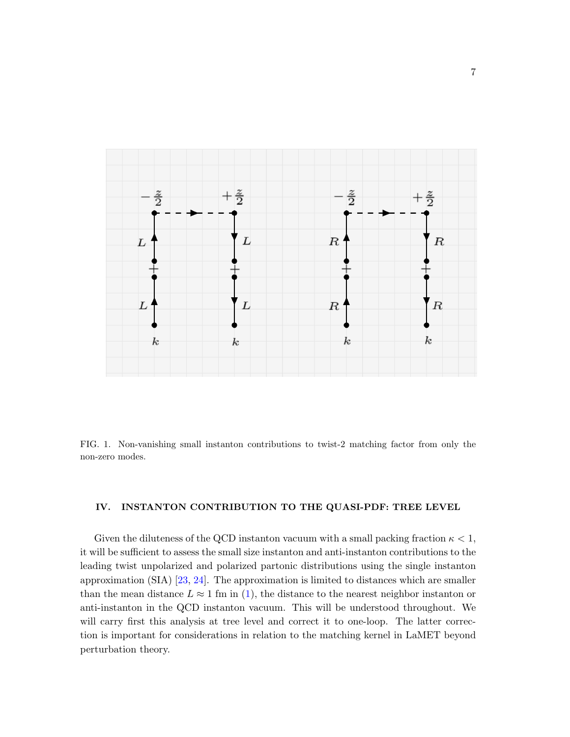

<span id="page-6-1"></span>FIG. 1. Non-vanishing small instanton contributions to twist-2 matching factor from only the non-zero modes.

# <span id="page-6-0"></span>IV. INSTANTON CONTRIBUTION TO THE QUASI-PDF: TREE LEVEL

Given the diluteness of the QCD instanton vacuum with a small packing fraction  $\kappa < 1$ , it will be sufficient to assess the small size instanton and anti-instanton contributions to the leading twist unpolarized and polarized partonic distributions using the single instanton approximation (SIA) [\[23,](#page-23-12) [24\]](#page-23-13). The approximation is limited to distances which are smaller than the mean distance  $L \approx 1$  fm in [\(1\)](#page-1-1), the distance to the nearest neighbor instanton or anti-instanton in the QCD instanton vacuum. This will be understood throughout. We will carry first this analysis at tree level and correct it to one-loop. The latter correction is important for considerations in relation to the matching kernel in LaMET beyond perturbation theory.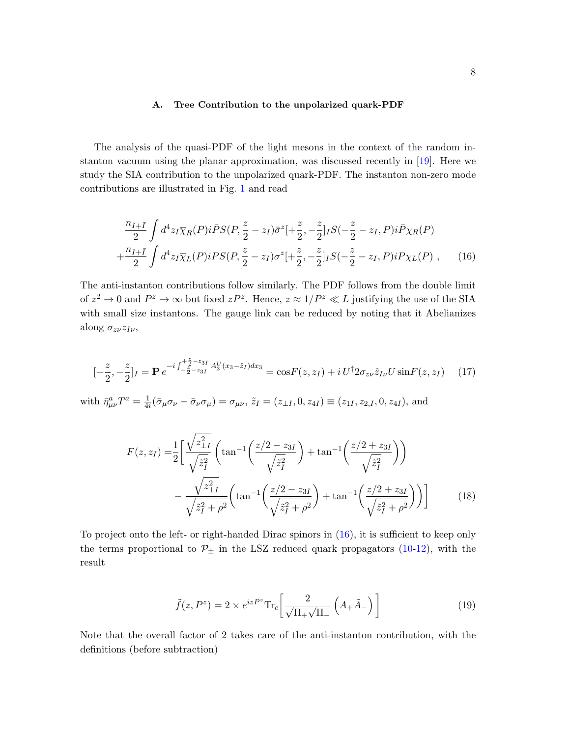## <span id="page-7-2"></span><span id="page-7-0"></span>A. Tree Contribution to the unpolarized quark-PDF

The analysis of the quasi-PDF of the light mesons in the context of the random instanton vacuum using the planar approximation, was discussed recently in [\[19\]](#page-23-8). Here we study the SIA contribution to the unpolarized quark-PDF. The instanton non-zero mode contributions are illustrated in Fig. [1](#page-6-1) and read

$$
\frac{n_{I+\bar{I}}}{2} \int d^4 z_I \overline{\chi}_R(P) i\bar{P} S(P, \frac{z}{2} - z_I) \bar{\sigma}^z \left[ + \frac{z}{2}, -\frac{z}{2} \right] I S(-\frac{z}{2} - z_I, P) i\bar{P} \chi_R(P) + \frac{n_{I+\bar{I}}}{2} \int d^4 z_I \overline{\chi}_L(P) iPS(P, \frac{z}{2} - z_I) \sigma^z \left[ + \frac{z}{2}, -\frac{z}{2} \right] I S(-\frac{z}{2} - z_I, P) iP \chi_L(P) , \qquad (16)
$$

The anti-instanton contributions follow similarly. The PDF follows from the double limit of  $z^2 \to 0$  and  $P^z \to \infty$  but fixed  $zP^z$ . Hence,  $z \approx 1/P^z \ll L$  justifying the use of the SIA with small size instantons. The gauge link can be reduced by noting that it Abelianizes along  $\sigma_{z\nu}z_{I\nu}$ ,

$$
[+\frac{z}{2}, -\frac{z}{2}]_I = \mathbf{P} e^{-i \int_{-\frac{z}{2}-z_{3I}}^{\frac{z}{2}-z_{3I}} A_3^U(x_3 - \tilde{z}_I) dx_3} = \cos F(z, z_I) + i U^{\dagger} 2 \sigma_{z\nu} \hat{z}_{I\nu} U \sin F(z, z_I)
$$
 (17)

with  $\bar{\eta}^a_{\mu\nu}T^a = \frac{1}{4a}$  $\frac{1}{4i}(\bar{\sigma}_{\mu}\sigma_{\nu}-\bar{\sigma}_{\nu}\sigma_{\mu})=\sigma_{\mu\nu},\,\tilde{z}_I=(z_{\perp I},0,z_{4I})\equiv(z_{1I},z_{2,I},0,z_{4I}),$  and

$$
F(z, z_I) = \frac{1}{2} \left[ \frac{\sqrt{z_{\perp I}^2}}{\sqrt{\tilde{z}_I^2}} \left( \tan^{-1} \left( \frac{z/2 - z_{3I}}{\sqrt{\tilde{z}_I^2}} \right) + \tan^{-1} \left( \frac{z/2 + z_{3I}}{\sqrt{\tilde{z}_I^2}} \right) \right) - \frac{\sqrt{z_{\perp I}^2}}{\sqrt{\tilde{z}_I^2 + \rho^2}} \left( \tan^{-1} \left( \frac{z/2 - z_{3I}}{\sqrt{\tilde{z}_I^2 + \rho^2}} \right) + \tan^{-1} \left( \frac{z/2 + z_{3I}}{\sqrt{\tilde{z}_I^2 + \rho^2}} \right) \right) \right]
$$
(18)

To project onto the left- or right-handed Dirac spinors in [\(16\)](#page-7-0), it is sufficient to keep only the terms proportional to  $\mathcal{P}_{\pm}$  in the LSZ reduced quark propagators [\(10](#page-5-0)[-12\)](#page-5-1), with the result

<span id="page-7-1"></span>
$$
\tilde{f}(z, P^z) = 2 \times e^{izP^z} \text{Tr}_c \left[ \frac{2}{\sqrt{\Pi_+} \sqrt{\Pi_-}} \left( A_+ \tilde{A}_- \right) \right]
$$
(19)

Note that the overall factor of 2 takes care of the anti-instanton contribution, with the definitions (before subtraction)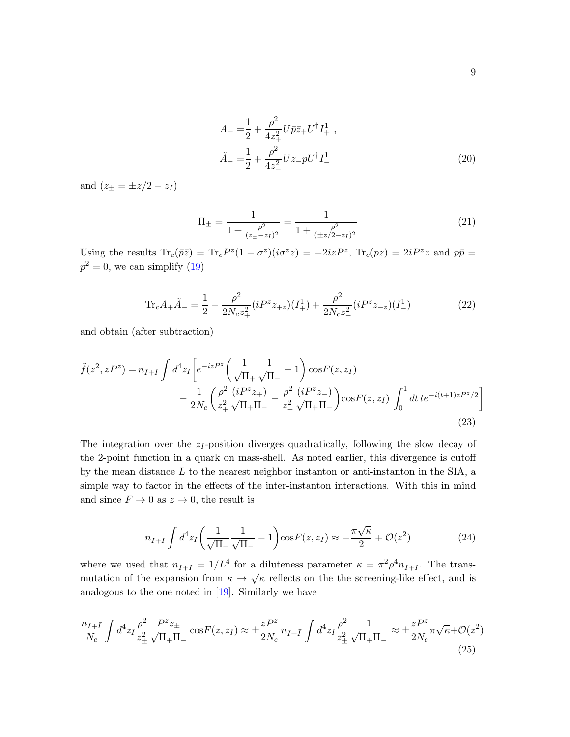$$
A_{+} = \frac{1}{2} + \frac{\rho^{2}}{4z_{+}^{2}}U\bar{p}\bar{z}_{+}U^{\dagger}I_{+}^{1},
$$
  
\n
$$
\tilde{A}_{-} = \frac{1}{2} + \frac{\rho^{2}}{4z_{-}^{2}}Uz_{-}pU^{\dagger}I_{-}^{1}
$$
\n(20)

and  $(z_{\pm} = \pm z/2 - z_I)$ 

<span id="page-8-0"></span>
$$
\Pi_{\pm} = \frac{1}{1 + \frac{\rho^2}{(z_{\pm} - z_I)^2}} = \frac{1}{1 + \frac{\rho^2}{(\pm z/2 - z_I)^2}}
$$
(21)

Using the results  $\text{Tr}_c(\bar{p}\bar{z}) = \text{Tr}_cP^z(1-\sigma^z)(i\sigma^z z) = -2izP^z$ ,  $\text{Tr}_c(pz) = 2iP^z z$  and  $p\bar{p} =$  $p^2 = 0$ , we can simplify [\(19\)](#page-7-1)

$$
\text{Tr}_c A_+ \tilde{A}_- = \frac{1}{2} - \frac{\rho^2}{2N_c z_+^2} (i P^z z_{+z}) (I_+^1) + \frac{\rho^2}{2N_c z_-^2} (i P^z z_{-z}) (I_-^1)
$$
(22)

and obtain (after subtraction)

$$
\tilde{f}(z^2, zP^z) = n_{I+I} \int d^4 z_I \left[ e^{-izP^z} \left( \frac{1}{\sqrt{\Pi_+}} \frac{1}{\sqrt{\Pi_-}} - 1 \right) \cos F(z, z_I) - \frac{1}{2N_c} \left( \frac{\rho^2}{z_+^2} \frac{(iP^z z_+)}{\sqrt{\Pi_+ \Pi_-}} - \frac{\rho^2}{z_-^2} \frac{(iP^z z_-)}{\sqrt{\Pi_+ \Pi_-}} \right) \cos F(z, z_I) \int_0^1 dt \, t e^{-i(t+1)zP^z/2} \right]
$$
\n(23)

The integration over the  $z_I$ -position diverges quadratically, following the slow decay of the 2-point function in a quark on mass-shell. As noted earlier, this divergence is cutoff by the mean distance  $L$  to the nearest neighbor instanton or anti-instanton in the SIA, a simple way to factor in the effects of the inter-instanton interactions. With this in mind and since  $F \to 0$  as  $z \to 0$ , the result is

$$
n_{I+\bar{I}} \int d^4 z_I \left( \frac{1}{\sqrt{\Pi_+}} \frac{1}{\sqrt{\Pi_-}} - 1 \right) \cos F(z, z_I) \approx -\frac{\pi \sqrt{\kappa}}{2} + \mathcal{O}(z^2)
$$
 (24)

where we used that  $n_{I+\bar{I}} = 1/L^4$  for a diluteness parameter  $\kappa = \pi^2 \rho^4 n_{I+\bar{I}}$ . The transmutation of the expansion from  $\kappa \to \sqrt{\kappa}$  reflects on the the screening-like effect, and is analogous to the one noted in [\[19\]](#page-23-8). Similarly we have

$$
\frac{n_{I+\bar{I}}}{N_c} \int d^4 z_I \frac{\rho^2}{z_{\pm}^2} \frac{P^z z_{\pm}}{\sqrt{\Pi_+ \Pi_-}} \cos F(z, z_I) \approx \pm \frac{z P^z}{2N_c} n_{I+\bar{I}} \int d^4 z_I \frac{\rho^2}{z_{\pm}^2} \frac{1}{\sqrt{\Pi_+ \Pi_-}} \approx \pm \frac{z P^z}{2N_c} \pi \sqrt{\kappa} + \mathcal{O}(z^2)
$$
\n(25)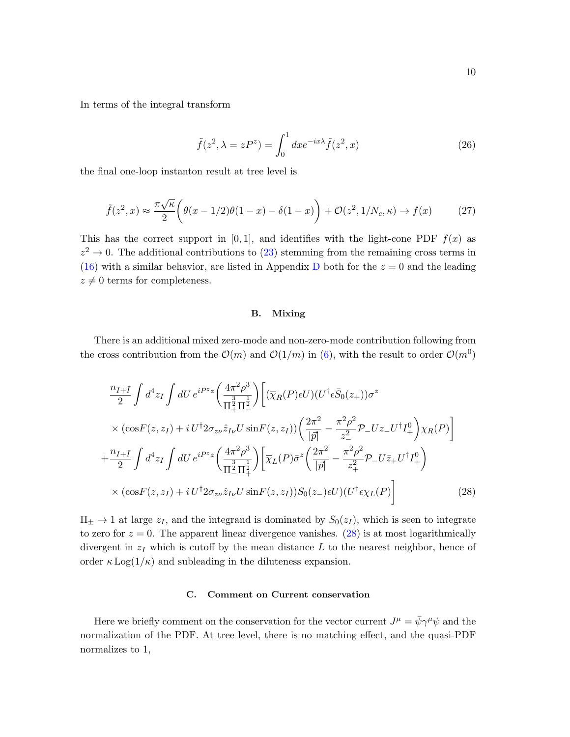In terms of the integral transform

$$
\tilde{f}(z^2, \lambda = zP^z) = \int_0^1 dx e^{-ix\lambda} \tilde{f}(z^2, x)
$$
\n(26)

the final one-loop instanton result at tree level is

$$
\tilde{f}(z^2, x) \approx \frac{\pi \sqrt{\kappa}}{2} \left( \theta(x - 1/2)\theta(1 - x) - \delta(1 - x) \right) + \mathcal{O}(z^2, 1/N_c, \kappa) \to f(x) \tag{27}
$$

This has the correct support in [0, 1], and identifies with the light-cone PDF  $f(x)$  as  $z^2 \to 0$ . The additional contributions to [\(23\)](#page-8-0) stemming from the remaining cross terms in [\(16\)](#page-7-0) with a similar behavior, are listed in Appendix [D](#page-21-1) both for the  $z = 0$  and the leading  $z \neq 0$  terms for completeness.

# <span id="page-9-0"></span>B. Mixing

There is an additional mixed zero-mode and non-zero-mode contribution following from the cross contribution from the  $\mathcal{O}(m)$  and  $\mathcal{O}(1/m)$  in [\(6\)](#page-3-1), with the result to order  $\mathcal{O}(m^0)$ 

$$
\frac{n_{I+\bar{I}}}{2} \int d^4 z_I \int dU e^{iP^z z} \left( \frac{4\pi^2 \rho^3}{\Pi_+^2 \Pi_-^2} \right) \left[ (\overline{\chi}_R(P) \epsilon U)(U^\dagger \epsilon \bar{S}_0(z_+)) \sigma^z \right]
$$
  
\n
$$
\times (\cos F(z, z_I) + i U^\dagger 2 \sigma_{z\nu} \hat{z}_{I\nu} U \sin F(z, z_I)) \left( \frac{2\pi^2}{|\vec{p}|} - \frac{\pi^2 \rho^2}{z_-^2} \mathcal{P}_- U z_- U^\dagger I_+^0 \right) \chi_R(P) \right]
$$
  
\n
$$
+ \frac{n_{I+\bar{I}}}{2} \int d^4 z_I \int dU e^{iP^z z} \left( \frac{4\pi^2 \rho^3}{\Pi_-^2 \Pi_+^2} \right) \left[ \overline{\chi}_L(P) \bar{\sigma}^z \left( \frac{2\pi^2}{|\vec{p}|} - \frac{\pi^2 \rho^2}{z_+^2} \mathcal{P}_- U \bar{z}_+ U^\dagger I_+^0 \right) \right]
$$
  
\n
$$
\times (\cos F(z, z_I) + i U^\dagger 2 \sigma_{z\nu} \hat{z}_{I\nu} U \sin F(z, z_I)) S_0(z_-) \epsilon U) (U^\dagger \epsilon \chi_L(P)) \right]
$$
(28)

 $\Pi_{\pm} \rightarrow 1$  at large  $z_I$ , and the integrand is dominated by  $S_0(z_I)$ , which is seen to integrate to zero for  $z = 0$ . The apparent linear divergence vanishes. [\(28\)](#page-9-0) is at most logarithmically divergent in  $z_I$  which is cutoff by the mean distance  $L$  to the nearest neighbor, hence of order  $\kappa$  Log( $1/\kappa$ ) and subleading in the diluteness expansion.

## C. Comment on Current conservation

Here we briefly comment on the conservation for the vector current  $J^{\mu} = \bar{\psi}\gamma^{\mu}\psi$  and the normalization of the PDF. At tree level, there is no matching effect, and the quasi-PDF normalizes to 1,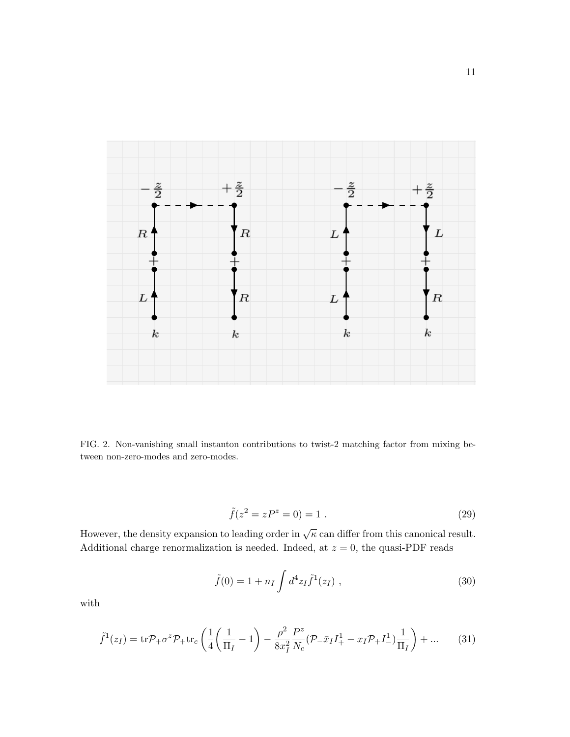

<span id="page-10-0"></span>FIG. 2. Non-vanishing small instanton contributions to twist-2 matching factor from mixing between non-zero-modes and zero-modes.

$$
\tilde{f}(z^2 = zP^z = 0) = 1.
$$
\n(29)

However, the density expansion to leading order in  $\sqrt{\kappa}$  can differ from this canonical result. Additional charge renormalization is needed. Indeed, at  $z = 0$ , the quasi-PDF reads

$$
\tilde{f}(0) = 1 + n_I \int d^4 z_I \tilde{f}^1(z_I) , \qquad (30)
$$

with

$$
\tilde{f}^{1}(z_{I}) = \text{tr}\mathcal{P}_{+}\sigma^{z}\mathcal{P}_{+}\text{tr}_{c}\left(\frac{1}{4}\left(\frac{1}{\Pi_{I}}-1\right) - \frac{\rho^{2}}{8x_{I}^{2}}\frac{P^{z}}{N_{c}}(\mathcal{P}_{-}\bar{x}_{I}I_{+}^{1} - x_{I}\mathcal{P}_{+}I_{-}^{1})\frac{1}{\Pi_{I}}\right) + \dots \tag{31}
$$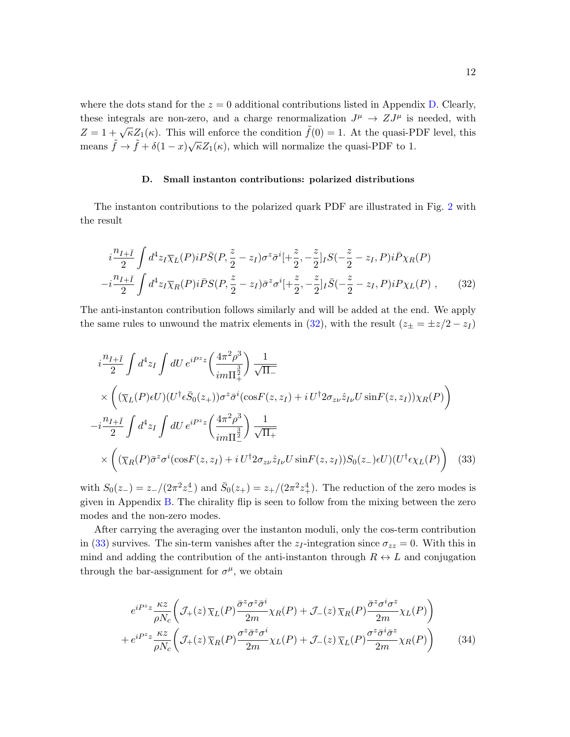where the dots stand for the  $z = 0$  additional contributions listed in Appendix [D.](#page-21-1) Clearly, these integrals are non-zero, and a charge renormalization  $J^{\mu} \to Z J^{\mu}$  is needed, with  $Z = 1 + \sqrt{\kappa}Z_1(\kappa)$ . This will enforce the condition  $\tilde{f}(0) = 1$ . At the quasi-PDF level, this means  $\tilde{f} \to \tilde{f} + \delta(1-x)\sqrt{\kappa}Z_1(\kappa)$ , which will normalize the quasi-PDF to 1.

### <span id="page-11-1"></span><span id="page-11-0"></span>D. Small instanton contributions: polarized distributions

The instanton contributions to the polarized quark PDF are illustrated in Fig. [2](#page-10-0) with the result

$$
i\frac{n_{I+\bar{I}}}{2} \int d^4 z_I \overline{\chi}_L(P) i P \bar{S}(P, \frac{z}{2} - z_I) \sigma^z \bar{\sigma}^i \left[ + \frac{z}{2}, -\frac{z}{2} \right] I S(-\frac{z}{2} - z_I, P) i \bar{P} \chi_R(P) -i\frac{n_{I+\bar{I}}}{2} \int d^4 z_I \overline{\chi}_R(P) i \bar{P} S(P, \frac{z}{2} - z_I) \bar{\sigma}^z \sigma^i \left[ + \frac{z}{2}, -\frac{z}{2} \right] I \bar{S}(-\frac{z}{2} - z_I, P) i P \chi_L(P) , \qquad (32)
$$

The anti-instanton contribution follows similarly and will be added at the end. We apply the same rules to unwound the matrix elements in [\(32\)](#page-11-1), with the result  $(z_{\pm} = \pm z/2 - z_I)$ 

$$
i\frac{n_{I+\bar{I}}}{2}\int d^4z_I \int dU e^{iP^z z} \left(\frac{4\pi^2 \rho^3}{im\Pi_+^{\frac{3}{2}}}\right) \frac{1}{\sqrt{\Pi_-}}
$$
  
\n
$$
\times \left( (\overline{\chi}_L(P)\epsilon U)(U^{\dagger} \epsilon \bar{S}_0(z_+))\sigma^z \bar{\sigma}^i (\cos F(z, z_I) + i U^{\dagger} 2\sigma_{z\nu} \hat{z}_{I\nu} U \sin F(z, z_I)) \chi_R(P) \right)
$$
  
\n
$$
-i\frac{n_{I+\bar{I}}}{2}\int d^4z_I \int dU e^{iP^z z} \left(\frac{4\pi^2 \rho^3}{im\Pi_-^{\frac{3}{2}}}\right) \frac{1}{\sqrt{\Pi_+}}
$$
  
\n
$$
\times \left( (\overline{\chi}_R(P)\bar{\sigma}^z \sigma^i (\cos F(z, z_I) + i U^{\dagger} 2\sigma_{z\nu} \hat{z}_{I\nu} U \sin F(z, z_I)) S_0(z_-) \epsilon U)(U^{\dagger} \epsilon \chi_L(P)) \right) (33)
$$

with  $S_0(z_-) = z_-/(2\pi^2 z_-^4)$  and  $\bar{S}_0(z_+) = z_+/(2\pi^2 z_+^4)$ . The reduction of the zero modes is given in Appendix [B.](#page-19-0) The chirality flip is seen to follow from the mixing between the zero modes and the non-zero modes.

After carrying the averaging over the instanton moduli, only the cos-term contribution in [\(33\)](#page-11-2) survives. The sin-term vanishes after the  $z_I$ -integration since  $\sigma_{zz} = 0$ . With this in mind and adding the contribution of the anti-instanton through  $R \leftrightarrow L$  and conjugation through the bar-assignment for  $\sigma^{\mu}$ , we obtain

<span id="page-11-2"></span>
$$
e^{iP^{z}z} \frac{\kappa z}{\rho N_{c}} \left( \mathcal{J}_{+}(z) \overline{\chi}_{L}(P) \frac{\overline{\sigma}^{z} \sigma^{z} \overline{\sigma}^{i}}{2m} \chi_{R}(P) + \mathcal{J}_{-}(z) \overline{\chi}_{R}(P) \frac{\overline{\sigma}^{z} \sigma^{i} \sigma^{z}}{2m} \chi_{L}(P) \right) + e^{iP^{z}z} \frac{\kappa z}{\rho N_{c}} \left( \mathcal{J}_{+}(z) \overline{\chi}_{R}(P) \frac{\sigma^{z} \overline{\sigma}^{z} \sigma^{i}}{2m} \chi_{L}(P) + \mathcal{J}_{-}(z) \overline{\chi}_{L}(P) \frac{\sigma^{z} \overline{\sigma}^{i} \overline{\sigma}^{z}}{2m} \chi_{R}(P) \right)
$$
(34)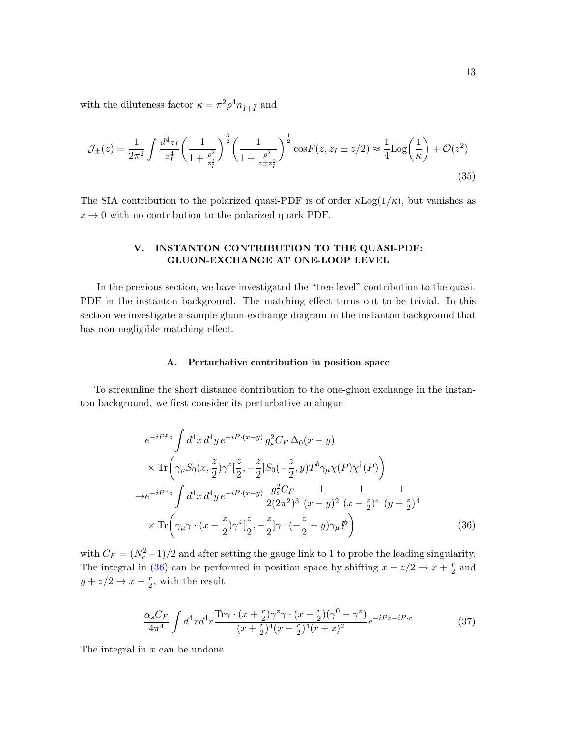with the diluteness factor  $\kappa = \pi^2 \rho^4 n_{I + \bar{I}}$  and

$$
\mathcal{J}_{\pm}(z) = \frac{1}{2\pi^2} \int \frac{d^4 z_I}{z_I^4} \left(\frac{1}{1 + \frac{\rho^2}{z_I^2}}\right)^{\frac{3}{2}} \left(\frac{1}{1 + \frac{\rho^2}{z \pm z_I^2}}\right)^{\frac{1}{2}} \cos F(z, z_I \pm z/2) \approx \frac{1}{4} \text{Log}\left(\frac{1}{\kappa}\right) + \mathcal{O}(z^2)
$$
\n(35)

The SIA contribution to the polarized quasi-PDF is of order  $\kappa$ Log( $1/\kappa$ ), but vanishes as  $z \rightarrow 0$  with no contribution to the polarized quark PDF.

# <span id="page-12-0"></span>V. INSTANTON CONTRIBUTION TO THE QUASI-PDF: GLUON-EXCHANGE AT ONE-LOOP LEVEL

In the previous section, we have investigated the "tree-level" contribution to the quasi-PDF in the instanton background. The matching effect turns out to be trivial. In this section we investigate a sample gluon-exchange diagram in the instanton background that has non-negligible matching effect.

## A. Perturbative contribution in position space

To streamline the short distance contribution to the one-gluon exchange in the instanton background, we first consider its perturbative analogue

$$
e^{-iP^{z}z} \int d^{4}x \, d^{4}y \, e^{-iP \cdot (x-y)} \, g_{s}^{2}C_{F} \, \Delta_{0}(x-y)
$$
  
\n
$$
\times \operatorname{Tr} \left( \gamma_{\mu} S_{0}(x, \frac{z}{2}) \gamma^{z} \left[ \frac{z}{2}, -\frac{z}{2} \right] S_{0}(-\frac{z}{2}, y) T^{b} \gamma_{\mu} \chi(P) \chi^{\dagger}(P) \right)
$$
  
\n
$$
\to e^{-iP^{z}z} \int d^{4}x \, d^{4}y \, e^{-iP \cdot (x-y)} \, \frac{g_{s}^{2}C_{F}}{2(2\pi^{2})^{3}} \frac{1}{(x-y)^{2}} \frac{1}{(x-\frac{z}{2})^{4}} \frac{1}{(y+\frac{z}{2})^{4}}
$$
  
\n
$$
\times \operatorname{Tr} \left( \gamma_{\mu} \gamma \cdot (x-\frac{z}{2}) \gamma^{z} \left[ \frac{z}{2}, -\frac{z}{2} \right] \gamma \cdot (-\frac{z}{2} - y) \gamma_{\mu} P \right)
$$
(36)

with  $C_F = (N_c^2 - 1)/2$  and after setting the gauge link to 1 to probe the leading singularity. The integral in [\(36\)](#page-12-1) can be performed in position space by shifting  $x - z/2 \rightarrow x + \frac{r}{2}$  $rac{r}{2}$  and  $y + z/2 \rightarrow x - \frac{r}{2}$  $\frac{r}{2}$ , with the result

<span id="page-12-2"></span><span id="page-12-1"></span>
$$
\frac{\alpha_s C_F}{4\pi^4} \int d^4x d^4r \frac{\text{Tr}\gamma \cdot (x+\frac{r}{2})\gamma^z \gamma \cdot (x-\frac{r}{2})(\gamma^0-\gamma^z)}{(x+\frac{r}{2})^4(x-\frac{r}{2})^4(r+z)^2} e^{-iPz-iP\cdot r}
$$
(37)

The integral in  $x$  can be undone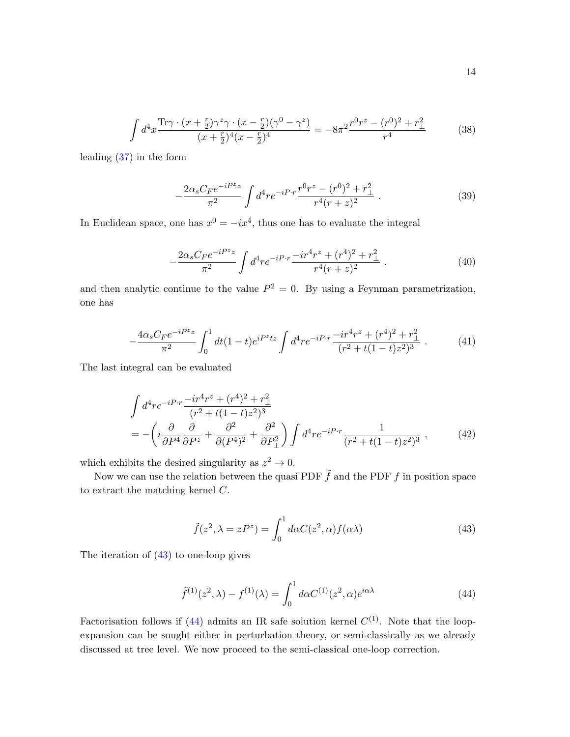$$
\int d^4x \frac{\text{Tr}\gamma \cdot (x+\frac{r}{2})\gamma^z \gamma \cdot (x-\frac{r}{2})(\gamma^0-\gamma^z)}{(x+\frac{r}{2})^4(x-\frac{r}{2})^4} = -8\pi^2 \frac{r^0 r^z - (r^0)^2 + r_\perp^2}{r^4}
$$
(38)

leading [\(37\)](#page-12-2) in the form

$$
-\frac{2\alpha_s C_F e^{-iP^z z}}{\pi^2} \int d^4 r e^{-iP \cdot r} \frac{r^0 r^z - (r^0)^2 + r_\perp^2}{r^4 (r+z)^2} \ . \tag{39}
$$

In Euclidean space, one has  $x^0 = -ix^4$ , thus one has to evaluate the integral

<span id="page-13-3"></span><span id="page-13-2"></span>
$$
-\frac{2\alpha_s C_F e^{-iP^z z}}{\pi^2} \int d^4 r e^{-iP \cdot r} \frac{-ir^4 r^z + (r^4)^2 + r_\perp^2}{r^4 (r+z)^2} \,. \tag{40}
$$

and then analytic continue to the value  $P^2 = 0$ . By using a Feynman parametrization, one has

$$
-\frac{4\alpha_s C_F e^{-iP^z z}}{\pi^2} \int_0^1 dt (1-t) e^{iP^z tz} \int d^4 r e^{-iP \cdot r} \frac{-ir^4 r^z + (r^4)^2 + r_\perp^2}{(r^2 + t(1-t)z^2)^3} \,. \tag{41}
$$

The last integral can be evaluated

$$
\int d^4 r e^{-iP \cdot r} \frac{-ir^4 r^2 + (r^4)^2 + r_{\perp}^2}{(r^2 + t(1 - t)z^2)^3} \n= -\left(i \frac{\partial}{\partial P^4} \frac{\partial}{\partial P^2} + \frac{\partial^2}{\partial (P^4)^2} + \frac{\partial^2}{\partial P_{\perp}^2}\right) \int d^4 r e^{-iP \cdot r} \frac{1}{(r^2 + t(1 - t)z^2)^3} ,
$$
\n(42)

which exhibits the desired singularity as  $z^2 \to 0$ .

Now we can use the relation between the quasi PDF  $\tilde{f}$  and the PDF f in position space to extract the matching kernel C.

<span id="page-13-4"></span><span id="page-13-1"></span><span id="page-13-0"></span>
$$
\tilde{f}(z^2, \lambda = zP^z) = \int_0^1 d\alpha C(z^2, \alpha) f(\alpha \lambda)
$$
\n(43)

The iteration of [\(43\)](#page-13-0) to one-loop gives

$$
\tilde{f}^{(1)}(z^2,\lambda) - f^{(1)}(\lambda) = \int_0^1 d\alpha C^{(1)}(z^2,\alpha)e^{i\alpha\lambda}
$$
\n(44)

Factorisation follows if [\(44\)](#page-13-1) admits an IR safe solution kernel  $C^{(1)}$ . Note that the loopexpansion can be sought either in perturbation theory, or semi-classically as we already discussed at tree level. We now proceed to the semi-classical one-loop correction.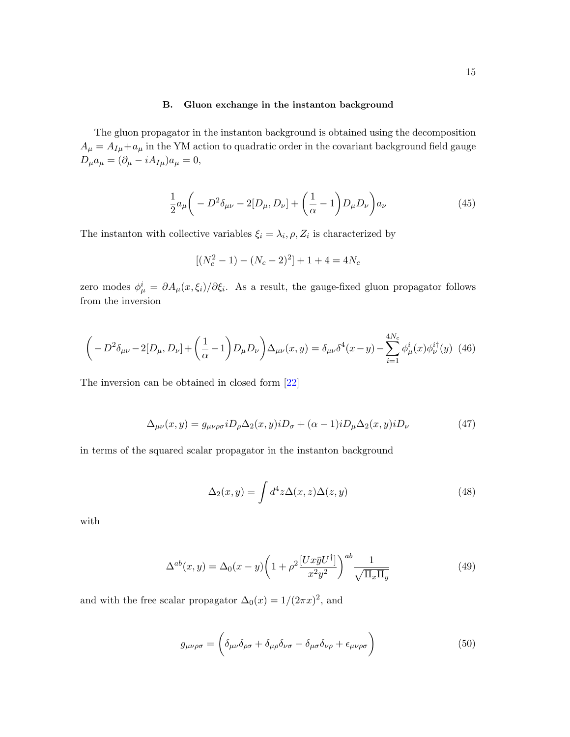## B. Gluon exchange in the instanton background

The gluon propagator in the instanton background is obtained using the decomposition  $A_{\mu} = A_{I\mu} + a_{\mu}$  in the YM action to quadratic order in the covariant background field gauge  $D_{\mu}a_{\mu}=(\partial_{\mu}-iA_{I\mu})a_{\mu}=0,$ 

$$
\frac{1}{2}a_{\mu}\left(-D^2\delta_{\mu\nu}-2[D_{\mu},D_{\nu}]+\left(\frac{1}{\alpha}-1\right)D_{\mu}D_{\nu}\right)a_{\nu}\tag{45}
$$

The instanton with collective variables  $\xi_i = \lambda_i$ ,  $\rho$ ,  $Z_i$  is characterized by

$$
[(N_c^2 - 1) - (N_c - 2)^2] + 1 + 4 = 4N_c
$$

zero modes  $\phi^i_\mu = \partial A_\mu(x,\xi_i)/\partial \xi_i$ . As a result, the gauge-fixed gluon propagator follows from the inversion

$$
\left(-D^2 \delta_{\mu\nu} - 2[D_\mu, D_\nu] + \left(\frac{1}{\alpha} - 1\right)D_\mu D_\nu\right)\Delta_{\mu\nu}(x, y) = \delta_{\mu\nu}\delta^4(x - y) - \sum_{i=1}^{4N_c} \phi^i_\mu(x)\phi^{i\dagger}_\nu(y) \tag{46}
$$

The inversion can be obtained in closed form [\[22\]](#page-23-11)

<span id="page-14-0"></span>
$$
\Delta_{\mu\nu}(x,y) = g_{\mu\nu\rho\sigma} i D_{\rho} \Delta_2(x,y) i D_{\sigma} + (\alpha - 1) i D_{\mu} \Delta_2(x,y) i D_{\nu}
$$
\n(47)

in terms of the squared scalar propagator in the instanton background

$$
\Delta_2(x,y) = \int d^4 z \Delta(x,z) \Delta(z,y) \tag{48}
$$

with

<span id="page-14-1"></span>
$$
\Delta^{ab}(x,y) = \Delta_0(x-y) \left(1 + \rho^2 \frac{[Ux\bar{y}U^{\dagger}]}{x^2 y^2}\right)^{ab} \frac{1}{\sqrt{\Pi_x \Pi_y}}
$$
(49)

and with the free scalar propagator  $\Delta_0(x) = 1/(2\pi x)^2$ , and

$$
g_{\mu\nu\rho\sigma} = \left(\delta_{\mu\nu}\delta_{\rho\sigma} + \delta_{\mu\rho}\delta_{\nu\sigma} - \delta_{\mu\sigma}\delta_{\nu\rho} + \epsilon_{\mu\nu\rho\sigma}\right)
$$
(50)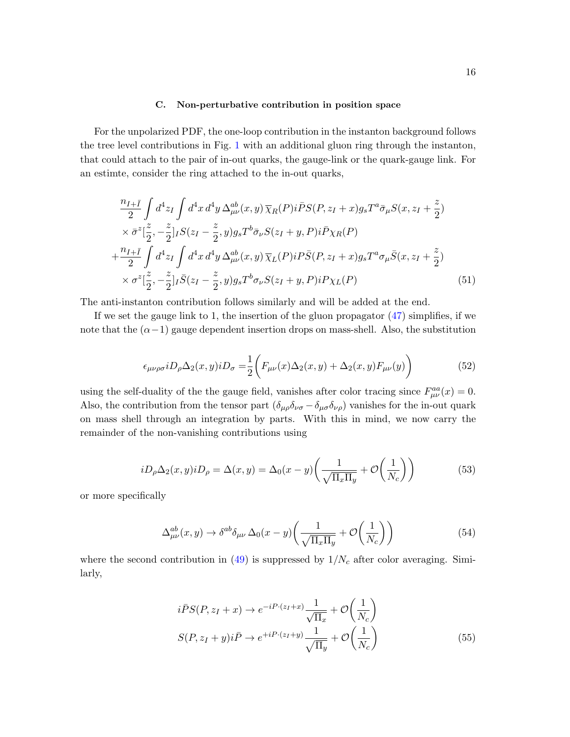### C. Non-perturbative contribution in position space

For the unpolarized PDF, the one-loop contribution in the instanton background follows the tree level contributions in Fig. [1](#page-6-1) with an additional gluon ring through the instanton, that could attach to the pair of in-out quarks, the gauge-link or the quark-gauge link. For an estimte, consider the ring attached to the in-out quarks,

$$
\frac{n_{I+I}}{2} \int d^4 z_I \int d^4 x \, d^4 y \, \Delta_{\mu\nu}^{ab}(x, y) \overline{\chi}_R(P) i\overline{P} S(P, z_I + x) g_s T^a \overline{\sigma}_{\mu} S(x, z_I + \frac{z}{2})
$$
\n
$$
\times \overline{\sigma}^z \left[\frac{z}{2}, -\frac{z}{2}\right] I S(z_I - \frac{z}{2}, y) g_s T^b \overline{\sigma}_{\nu} S(z_I + y, P) i\overline{P} \chi_R(P)
$$
\n
$$
+ \frac{n_{I+I}}{2} \int d^4 z_I \int d^4 x \, d^4 y \, \Delta_{\mu\nu}^{ab}(x, y) \overline{\chi}_L(P) iP \overline{S}(P, z_I + x) g_s T^a \sigma_{\mu} \overline{S}(x, z_I + \frac{z}{2})
$$
\n
$$
\times \sigma^z \left[\frac{z}{2}, -\frac{z}{2}\right] I \overline{S}(z_I - \frac{z}{2}, y) g_s T^b \sigma_{\nu} S(z_I + y, P) iP \chi_L(P) \tag{51}
$$

The anti-instanton contribution follows similarly and will be added at the end.

If we set the gauge link to 1, the insertion of the gluon propagator  $(47)$  simplifies, if we note that the  $(\alpha-1)$  gauge dependent insertion drops on mass-shell. Also, the substitution

<span id="page-15-2"></span>
$$
\epsilon_{\mu\nu\rho\sigma} i D_{\rho} \Delta_2(x, y) i D_{\sigma} = \frac{1}{2} \left( F_{\mu\nu}(x) \Delta_2(x, y) + \Delta_2(x, y) F_{\mu\nu}(y) \right) \tag{52}
$$

using the self-duality of the the gauge field, vanishes after color tracing since  $F_{\mu\nu}^{aa}(x) = 0$ . Also, the contribution from the tensor part  $(\delta_{\mu\rho}\delta_{\nu\sigma} - \delta_{\mu\sigma}\delta_{\nu\rho})$  vanishes for the in-out quark on mass shell through an integration by parts. With this in mind, we now carry the remainder of the non-vanishing contributions using

$$
iD_{\rho}\Delta_2(x,y)iD_{\rho} = \Delta(x,y) = \Delta_0(x-y)\left(\frac{1}{\sqrt{\Pi_x \Pi_y}} + \mathcal{O}\left(\frac{1}{N_c}\right)\right) \tag{53}
$$

or more specifically

<span id="page-15-0"></span>
$$
\Delta_{\mu\nu}^{ab}(x,y) \to \delta^{ab}\delta_{\mu\nu}\,\Delta_0(x-y)\left(\frac{1}{\sqrt{\Pi_x \Pi_y}} + \mathcal{O}\left(\frac{1}{N_c}\right)\right) \tag{54}
$$

where the second contribution in  $(49)$  is suppressed by  $1/N_c$  after color averaging. Similarly,

<span id="page-15-1"></span>
$$
i\bar{P}S(P, z_I + x) \to e^{-iP \cdot (z_I + x)} \frac{1}{\sqrt{\Pi_x}} + \mathcal{O}\left(\frac{1}{N_c}\right)
$$
  

$$
S(P, z_I + y)i\bar{P} \to e^{+iP \cdot (z_I + y)} \frac{1}{\sqrt{\Pi_y}} + \mathcal{O}\left(\frac{1}{N_c}\right)
$$
 (55)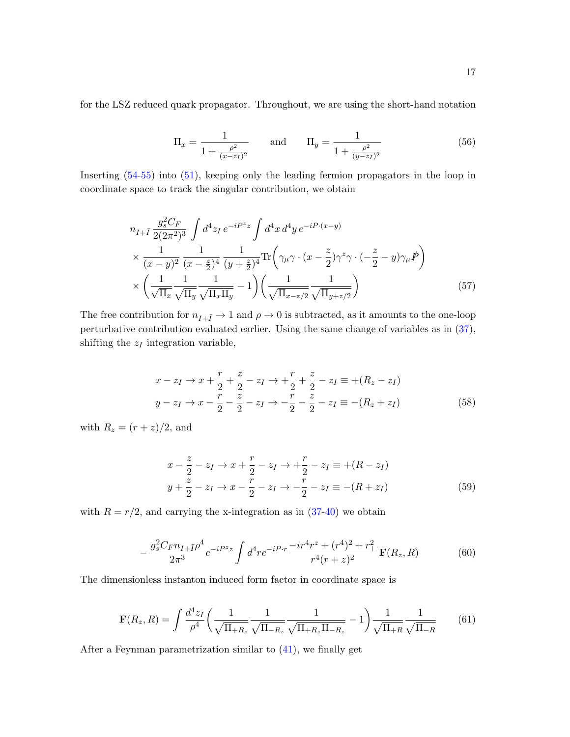for the LSZ reduced quark propagator. Throughout, we are using the short-hand notation

$$
\Pi_x = \frac{1}{1 + \frac{\rho^2}{(x - z_I)^2}} \quad \text{and} \quad \Pi_y = \frac{1}{1 + \frac{\rho^2}{(y - z_I)^2}}
$$
(56)

Inserting [\(54-](#page-15-0)[55\)](#page-15-1) into [\(51\)](#page-15-2), keeping only the leading fermion propagators in the loop in coordinate space to track the singular contribution, we obtain

$$
n_{I+\bar{I}} \frac{g_s^2 C_F}{2(2\pi^2)^3} \int d^4 z_I \, e^{-i P^z z} \int d^4 x \, d^4 y \, e^{-i P \cdot (x-y)} \\
\times \frac{1}{(x-y)^2} \frac{1}{(x-\frac{z}{2})^4} \frac{1}{(y+\frac{z}{2})^4} \text{Tr}\left(\gamma_\mu \gamma \cdot (x-\frac{z}{2}) \gamma^z \gamma \cdot (-\frac{z}{2} - y) \gamma_\mu \, \not\!\!P \right) \\
\times \left(\frac{1}{\sqrt{\Pi_x}} \frac{1}{\sqrt{\Pi_y}} \frac{1}{\sqrt{\Pi_x \Pi_y}} - 1\right) \left(\frac{1}{\sqrt{\Pi_{x-z/2}} \frac{1}{\sqrt{\Pi_{y+z/2}}}}\right) \tag{57}
$$

The free contribution for  $n_{I+\bar{I}} \to 1$  and  $\rho \to 0$  is subtracted, as it amounts to the one-loop perturbative contribution evaluated earlier. Using the same change of variables as in [\(37\)](#page-12-2), shifting the  $z_I$  integration variable,

$$
x - z_I \to x + \frac{r}{2} + \frac{z}{2} - z_I \to + \frac{r}{2} + \frac{z}{2} - z_I \equiv +(R_z - z_I)
$$
  
\n
$$
y - z_I \to x - \frac{r}{2} - \frac{z}{2} - z_I \to - \frac{r}{2} - \frac{z}{2} - z_I \equiv -(R_z + z_I)
$$
 (58)

with  $R_z = (r + z)/2$ , and

$$
x - \frac{z}{2} - z_I \to x + \frac{r}{2} - z_I \to + \frac{r}{2} - z_I \equiv +(R - z_I)
$$
  
\n
$$
y + \frac{z}{2} - z_I \to x - \frac{r}{2} - z_I \to -\frac{r}{2} - z_I \equiv -(R + z_I)
$$
 (59)

with  $R = r/2$ , and carrying the x-integration as in  $(37-40)$  $(37-40)$  we obtain

$$
-\frac{g_s^2 C_F n_{I+\bar{I}} \rho^4}{2\pi^3} e^{-iP^z z} \int d^4 r e^{-iP \cdot r} \frac{-ir^4 r^z + (r^4)^2 + r_\perp^2}{r^4 (r+z)^2} \mathbf{F}(R_z, R) \tag{60}
$$

The dimensionless instanton induced form factor in coordinate space is

$$
\mathbf{F}(R_z, R) = \int \frac{d^4 z_I}{\rho^4} \left( \frac{1}{\sqrt{\Pi_{+R_z}}} \frac{1}{\sqrt{\Pi_{-R_z}}} \frac{1}{\sqrt{\Pi_{+R_z} \Pi_{-R_z}}} - 1 \right) \frac{1}{\sqrt{\Pi_{+R}}} \frac{1}{\sqrt{\Pi_{-R}}} \tag{61}
$$

After a Feynman parametrization similar to [\(41\)](#page-13-3), we finally get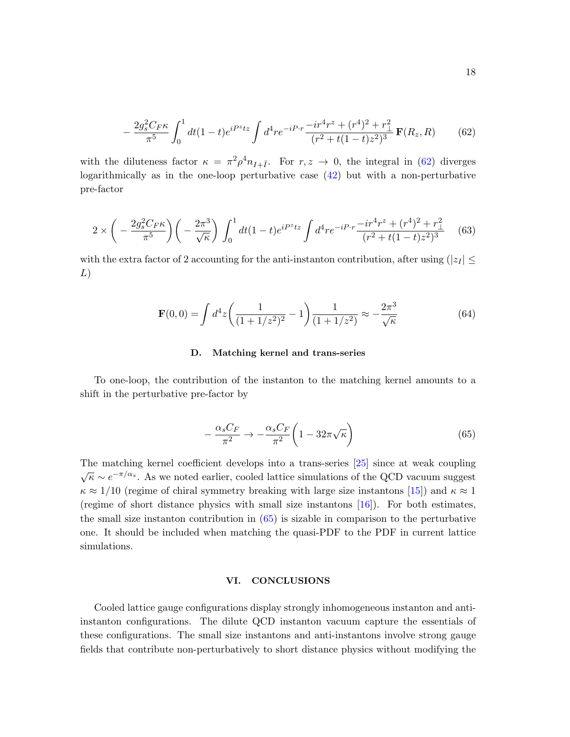<span id="page-17-1"></span>
$$
-\frac{2g_s^2C_F\kappa}{\pi^5}\int_0^1 dt(1-t)e^{iP^ztz}\int d^4re^{-iP\cdot r}\frac{-ir^4r^z+(r^4)^2+r_\perp^2}{(r^2+t(1-t)z^2)^3}\mathbf{F}(R_z,R)
$$
(62)

with the diluteness factor  $\kappa = \pi^2 \rho^4 n_{I+\bar{I}}$ . For  $r, z \to 0$ , the integral in [\(62\)](#page-17-1) diverges logarithmically as in the one-loop perturbative case [\(42\)](#page-13-4) but with a non-perturbative pre-factor

$$
2 \times \left( -\frac{2g_s^2 C_F \kappa}{\pi^5} \right) \left( -\frac{2\pi^3}{\sqrt{\kappa}} \right) \int_0^1 dt (1-t) e^{iP^z t z} \int d^4 r e^{-iP \cdot r} \frac{-ir^4 r^2 + (r^4)^2 + r_\perp^2}{(r^2 + t(1-t)z^2)^3} \tag{63}
$$

with the extra factor of 2 accounting for the anti-instanton contribution, after using  $(|z_I| \leq$ L)

$$
\mathbf{F}(0,0) = \int d^4z \left(\frac{1}{(1+1/z^2)^2} - 1\right) \frac{1}{(1+1/z^2)} \approx -\frac{2\pi^3}{\sqrt{\kappa}}\tag{64}
$$

### D. Matching kernel and trans-series

To one-loop, the contribution of the instanton to the matching kernel amounts to a shift in the perturbative pre-factor by

<span id="page-17-2"></span>
$$
-\frac{\alpha_s C_F}{\pi^2} \to -\frac{\alpha_s C_F}{\pi^2} \left(1 - 32\pi\sqrt{\kappa}\right) \tag{65}
$$

The matching kernel coefficient develops into a trans-series [\[25\]](#page-23-14) since at weak coupling  $\sqrt{\kappa} \sim e^{-\pi/\alpha_s}$ . As we noted earlier, cooled lattice simulations of the QCD vacuum suggest  $\kappa \approx 1/10$  (regime of chiral symmetry breaking with large size instantons [\[15\]](#page-23-4)) and  $\kappa \approx 1$ (regime of short distance physics with small size instantons [\[16\]](#page-23-5)). For both estimates, the small size instanton contribution in  $(65)$  is sizable in comparison to the perturbative one. It should be included when matching the quasi-PDF to the PDF in current lattice simulations.

### <span id="page-17-0"></span>VI. CONCLUSIONS

Cooled lattice gauge configurations display strongly inhomogeneous instanton and antiinstanton configurations. The dilute QCD instanton vacuum capture the essentials of these configurations. The small size instantons and anti-instantons involve strong gauge fields that contribute non-perturbatively to short distance physics without modifying the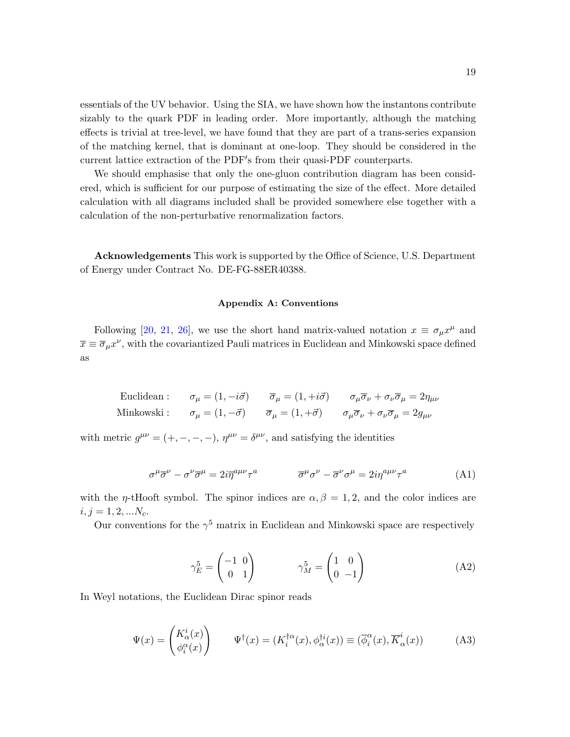essentials of the UV behavior. Using the SIA, we have shown how the instantons contribute sizably to the quark PDF in leading order. More importantly, although the matching effects is trivial at tree-level, we have found that they are part of a trans-series expansion of the matching kernel, that is dominant at one-loop. They should be considered in the current lattice extraction of the PDF's from their quasi-PDF counterparts.

We should emphasise that only the one-gluon contribution diagram has been considered, which is sufficient for our purpose of estimating the size of the effect. More detailed calculation with all diagrams included shall be provided somewhere else together with a calculation of the non-perturbative renormalization factors.

Acknowledgements This work is supported by the Office of Science, U.S. Department of Energy under Contract No. DE-FG-88ER40388.

### <span id="page-18-0"></span>Appendix A: Conventions

Following [\[20,](#page-23-9) [21,](#page-23-10) [26\]](#page-23-15), we use the short hand matrix-valued notation  $x \equiv \sigma_\mu x^\mu$  and  $\overline{x} \equiv \overline{\sigma}_{\mu} x^{\nu}$ , with the covariantized Pauli matrices in Euclidean and Minkowski space defined as

<span id="page-18-1"></span>Euclidean : 
$$
\sigma_{\mu} = (1, -i\vec{\sigma})
$$
  $\overline{\sigma}_{\mu} = (1, +i\vec{\sigma})$   $\sigma_{\mu}\overline{\sigma}_{\nu} + \sigma_{\nu}\overline{\sigma}_{\mu} = 2\eta_{\mu\nu}$   
Minkowski :  $\sigma_{\mu} = (1, -\vec{\sigma})$   $\overline{\sigma}_{\mu} = (1, +\vec{\sigma})$   $\sigma_{\mu}\overline{\sigma}_{\nu} + \sigma_{\nu}\overline{\sigma}_{\mu} = 2g_{\mu\nu}$ 

with metric  $g^{\mu\nu} = (+, -, -, -), \eta^{\mu\nu} = \delta^{\mu\nu}$ , and satisfying the identities

$$
\sigma^{\mu}\overline{\sigma}^{\nu} - \sigma^{\nu}\overline{\sigma}^{\mu} = 2i\overline{\eta}^{a\mu\nu}\tau^{a} \qquad \qquad \overline{\sigma}^{\mu}\sigma^{\nu} - \overline{\sigma}^{\nu}\sigma^{\mu} = 2i\eta^{a\mu\nu}\tau^{a} \qquad (A1)
$$

with the *η*-tHooft symbol. The spinor indices are  $\alpha, \beta = 1, 2$ , and the color indices are  $i, j = 1, 2, ... N_c.$ 

Our conventions for the  $\gamma^5$  matrix in Euclidean and Minkowski space are respectively

$$
\gamma_E^5 = \begin{pmatrix} -1 & 0 \\ 0 & 1 \end{pmatrix} \qquad \qquad \gamma_M^5 = \begin{pmatrix} 1 & 0 \\ 0 & -1 \end{pmatrix} \tag{A2}
$$

In Weyl notations, the Euclidean Dirac spinor reads

$$
\Psi(x) = \begin{pmatrix} K_{\alpha}^{i}(x) \\ \phi_{i}^{\alpha}(x) \end{pmatrix} \qquad \Psi^{\dagger}(x) = (K_{i}^{\dagger \alpha}(x), \phi_{\alpha}^{\dagger i}(x)) \equiv (\overline{\phi}_{i}^{\alpha}(x), \overline{K}_{\alpha}^{i}(x)) \tag{A3}
$$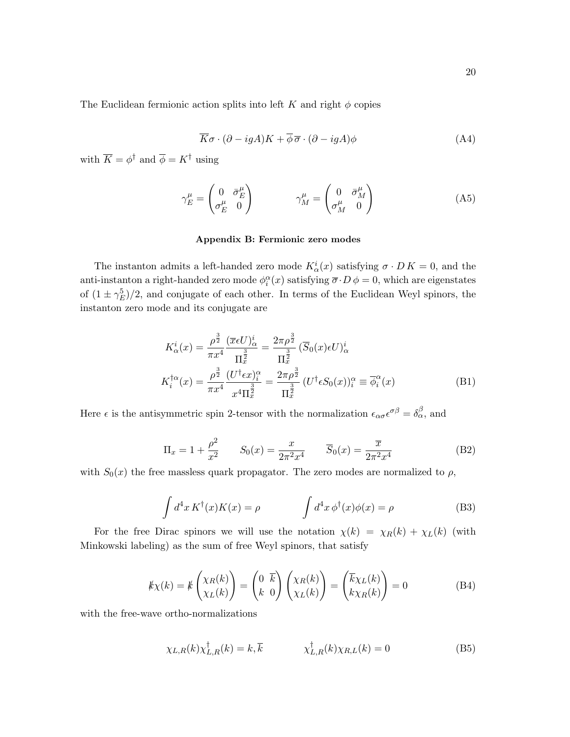The Euclidean fermionic action splits into left K and right  $\phi$  copies

$$
\overline{K}\sigma \cdot (\partial - igA)K + \overline{\phi}\,\overline{\sigma} \cdot (\partial - igA)\phi \tag{A4}
$$

with  $\overline{K} = \phi^{\dagger}$  and  $\overline{\phi} = K^{\dagger}$  using

$$
\gamma_E^{\mu} = \begin{pmatrix} 0 & \bar{\sigma}_E^{\mu} \\ \sigma_E^{\mu} & 0 \end{pmatrix} \qquad \gamma_M^{\mu} = \begin{pmatrix} 0 & \bar{\sigma}_M^{\mu} \\ \sigma_M^{\mu} & 0 \end{pmatrix} \tag{A5}
$$

## <span id="page-19-0"></span>Appendix B: Fermionic zero modes

The instanton admits a left-handed zero mode  $K^i_\alpha(x)$  satisfying  $\sigma \cdot D K = 0$ , and the anti-instanton a right-handed zero mode  $\phi_i^{\alpha}(x)$  satisfying  $\overline{\sigma} \cdot D \phi = 0$ , which are eigenstates of  $(1 \pm \gamma_E^5)/2$ , and conjugate of each other. In terms of the Euclidean Weyl spinors, the instanton zero mode and its conjugate are

$$
K_{\alpha}^{i}(x) = \frac{\rho^{\frac{3}{2}}}{\pi x^{4}} \frac{(\overline{x} \epsilon U)^{i}_{\alpha}}{\Pi_{\overline{x}}^{\frac{3}{2}}} = \frac{2\pi\rho^{\frac{3}{2}}}{\Pi_{\overline{x}}^{\frac{3}{2}}} (\overline{S}_{0}(x) \epsilon U)^{i}_{\alpha}
$$

$$
K_{i}^{\dagger\alpha}(x) = \frac{\rho^{\frac{3}{2}}}{\pi x^{4}} \frac{(U^{\dagger}\epsilon x)^{\alpha}_{i}}{x^{4}\Pi_{\overline{x}}^{\frac{3}{2}}} = \frac{2\pi\rho^{\frac{3}{2}}}{\Pi_{\overline{x}}^{\frac{3}{2}}} (U^{\dagger}\epsilon S_{0}(x))_{i}^{\alpha} \equiv \overline{\phi}_{i}^{\alpha}(x)
$$
(B1)

Here  $\epsilon$  is the antisymmetric spin 2-tensor with the normalization  $\epsilon_{\alpha\sigma}\epsilon^{\sigma\beta}=\delta_{\alpha}^{\beta}$ , and

$$
\Pi_x = 1 + \frac{\rho^2}{x^2} \qquad S_0(x) = \frac{x}{2\pi^2 x^4} \qquad \overline{S}_0(x) = \frac{\overline{x}}{2\pi^2 x^4}
$$
(B2)

with  $S_0(x)$  the free massless quark propagator. The zero modes are normalized to  $\rho$ ,

$$
\int d^4x K^{\dagger}(x)K(x) = \rho \qquad \qquad \int d^4x \, \phi^{\dagger}(x)\phi(x) = \rho \qquad (B3)
$$

For the free Dirac spinors we will use the notation  $\chi(k) = \chi_R(k) + \chi_L(k)$  (with Minkowski labeling) as the sum of free Weyl spinors, that satisfy

$$
\mathcal{K}\chi(k) = \mathcal{K}\begin{pmatrix} \chi_R(k) \\ \chi_L(k) \end{pmatrix} = \begin{pmatrix} 0 & \overline{k} \\ k & 0 \end{pmatrix} \begin{pmatrix} \chi_R(k) \\ \chi_L(k) \end{pmatrix} = \begin{pmatrix} \overline{k}\chi_L(k) \\ k\chi_R(k) \end{pmatrix} = 0
$$
 (B4)

with the free-wave ortho-normalizations

$$
\chi_{L,R}(k)\chi_{L,R}^{\dagger}(k) = k, \overline{k} \qquad \chi_{L,R}^{\dagger}(k)\chi_{R,L}(k) = 0 \tag{B5}
$$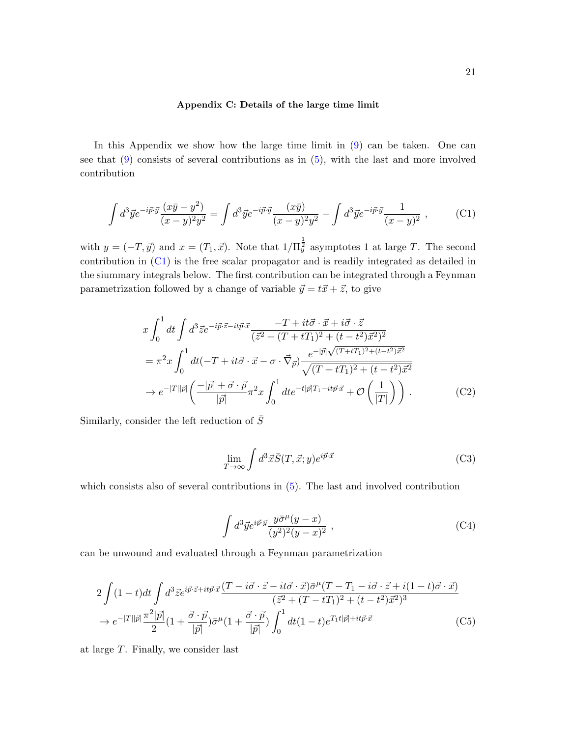### <span id="page-20-2"></span><span id="page-20-1"></span>Appendix C: Details of the large time limit

In this Appendix we show how the large time limit in [\(9\)](#page-4-1) can be taken. One can see that [\(9\)](#page-4-1) consists of several contributions as in [\(5\)](#page-3-0), with the last and more involved contribution

$$
\int d^3 \vec{y} e^{-i\vec{p}\cdot\vec{y}} \frac{(x\bar{y} - y^2)}{(x - y)^2 y^2} = \int d^3 \vec{y} e^{-i\vec{p}\cdot\vec{y}} \frac{(x\bar{y})}{(x - y)^2 y^2} - \int d^3 \vec{y} e^{-i\vec{p}\cdot\vec{y}} \frac{1}{(x - y)^2} , \qquad (C1)
$$

with  $y = (-T, \vec{y})$  and  $x = (T_1, \vec{x})$ . Note that  $1/\Pi_y^{\frac{1}{2}}$  asymptotes 1 at large T. The second contribution in [\(C1\)](#page-20-2) is the free scalar propagator and is readily integrated as detailed in the siummary integrals below. The first contribution can be integrated through a Feynman parametrization followed by a change of variable  $\vec{y} = t\vec{x} + \vec{z}$ , to give

$$
x \int_0^1 dt \int d^3 \vec{z} e^{-i\vec{p}\cdot\vec{z} - it\vec{p}\cdot\vec{x}} \frac{-T + it\vec{\sigma}\cdot\vec{x} + i\vec{\sigma}\cdot\vec{z}}{(\vec{z}^2 + (T + tT_1)^2 + (t - t^2)\vec{x}^2)^2}
$$
  
\n
$$
= \pi^2 x \int_0^1 dt (-T + it\vec{\sigma}\cdot\vec{x} - \sigma\cdot\vec{\nabla}_{\vec{p}}) \frac{e^{-|\vec{p}| \sqrt{(T + tT_1)^2 + (t - t^2)\vec{x}^2}}}{\sqrt{(T + tT_1)^2 + (t - t^2)\vec{x}^2}}
$$
  
\n
$$
\to e^{-|T||\vec{p}|} \left(\frac{-|\vec{p}| + \vec{\sigma}\cdot\vec{p}}{|\vec{p}|}\pi^2 x \int_0^1 dt e^{-t|\vec{p}|T_1 - it\vec{p}\cdot\vec{x}} + \mathcal{O}\left(\frac{1}{|T|}\right)\right).
$$
 (C2)

Similarly, consider the left reduction of  $\overline{S}$ 

<span id="page-20-0"></span>
$$
\lim_{T \to \infty} \int d^3 \vec{x} \vec{S}(T, \vec{x}; y) e^{i \vec{p} \cdot \vec{x}} \tag{C3}
$$

which consists also of several contributions in [\(5\)](#page-3-0). The last and involved contribution

$$
\int d^3 \vec{y} e^{i\vec{p}\cdot\vec{y}} \frac{y \bar{\sigma}^\mu (y-x)}{(y^2)^2 (y-x)^2} , \qquad (C4)
$$

can be unwound and evaluated through a Feynman parametrization

$$
2\int (1-t)dt \int d^3\vec{z}e^{i\vec{p}\cdot\vec{z}+it\vec{p}\cdot\vec{x}} \frac{(T-i\vec{\sigma}\cdot\vec{z}-it\vec{\sigma}\cdot\vec{x})\bar{\sigma}^{\mu}(T-T_1-i\vec{\sigma}\cdot\vec{z}+i(1-t)\vec{\sigma}\cdot\vec{x})}{(\vec{z}^2+(T-tT_1)^2+(t-t^2)\vec{x}^2)^3} \rightarrow e^{-|T||\vec{p}|}\frac{\pi^2|\vec{p}|}{2}(1+\frac{\vec{\sigma}\cdot\vec{p}}{|\vec{p}|})\bar{\sigma}^{\mu}(1+\frac{\vec{\sigma}\cdot\vec{p}}{|\vec{p}|})\int_0^1 dt(1-t)e^{T_1t|\vec{p}|+it\vec{p}\cdot\vec{x}} \qquad (C5)
$$

at large T. Finally, we consider last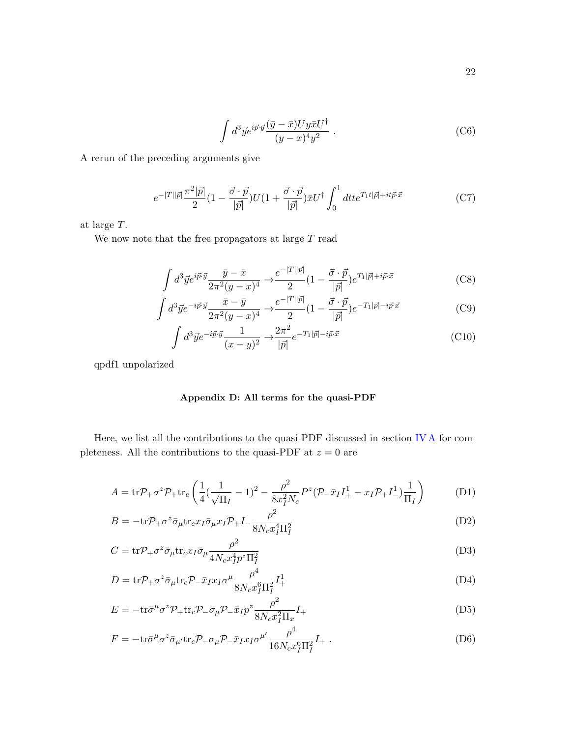<span id="page-21-0"></span>
$$
\int d^3 \vec{y} e^{i\vec{p}\cdot\vec{y}} \frac{(\bar{y}-\bar{x}) U y \bar{x} U^{\dagger}}{(y-x)^4 y^2} . \tag{C6}
$$

A rerun of the preceding arguments give

$$
e^{-|T||\vec{p}|}\frac{\pi^2|\vec{p}|}{2}(1-\frac{\vec{\sigma}\cdot\vec{p}}{|\vec{p}|})U(1+\frac{\vec{\sigma}\cdot\vec{p}}{|\vec{p}|})\bar{x}U^{\dagger}\int_0^1dtt e^{T_1t|\vec{p}|+it\vec{p}\cdot\vec{x}}\tag{C7}
$$

at large T.

We now note that the free propagators at large  $T$  read

$$
\int d^3 \vec{y} e^{i\vec{p}\cdot\vec{y}} \frac{\bar{y} - \bar{x}}{2\pi^2 (y - x)^4} \to \frac{e^{-|T||\vec{p}|}}{2} (1 - \frac{\vec{\sigma} \cdot \vec{p}}{|\vec{p}|}) e^{T_1|\vec{p}| + i\vec{p}\cdot\vec{x}} \tag{C8}
$$

$$
\int d^3 \vec{y} e^{-i\vec{p}\cdot\vec{y}} \frac{\bar{x} - \bar{y}}{2\pi^2 (y - x)^4} \rightarrow \frac{e^{-|T||\vec{p}|}}{2} (1 - \frac{\vec{\sigma} \cdot \vec{p}}{|\vec{p}|}) e^{-T_1 |\vec{p}| - i\vec{p}\cdot\vec{x}} \tag{C9}
$$

$$
\int d^3 \vec{y} e^{-i\vec{p}\cdot\vec{y}} \frac{1}{(x-y)^2} \to \frac{2\pi^2}{|\vec{p}|} e^{-T_1|\vec{p}|-i\vec{p}\cdot\vec{x}} \tag{C10}
$$

qpdf1 unpolarized

# <span id="page-21-1"></span>Appendix D: All terms for the quasi-PDF

Here, we list all the contributions to the quasi-PDF discussed in section [IV A](#page-7-2) for completeness. All the contributions to the quasi-PDF at  $z = 0$  are

$$
A = \text{tr}\mathcal{P}_{+}\sigma^{z}\mathcal{P}_{+}\text{tr}_{c}\left(\frac{1}{4}(\frac{1}{\sqrt{\Pi_{I}}} - 1)^{2} - \frac{\rho^{2}}{8x_{I}^{2}N_{c}}P^{z}(\mathcal{P}_{-}\bar{x}_{I}I_{+}^{1} - x_{I}\mathcal{P}_{+}I_{-}^{1})\frac{1}{\Pi_{I}}\right)
$$
(D1)

$$
B = -\text{tr}\mathcal{P}_+\sigma^z \bar{\sigma}_{\mu} \text{tr}_c x_I \bar{\sigma}_{\mu} x_I \mathcal{P}_+ I - \frac{\rho^2}{8N_c x_I^4 \Pi_I^2}
$$
(D2)

$$
C = \text{tr} \mathcal{P}_{+} \sigma^{z} \bar{\sigma}_{\mu} \text{tr}_{c} x_{I} \bar{\sigma}_{\mu} \frac{\rho^{2}}{4N_{c} x_{I}^{4} p^{z} \Pi_{I}^{2}} \tag{D3}
$$

$$
D = \text{tr}\mathcal{P}_+ \sigma^z \bar{\sigma}_{\mu} \text{tr}_c \mathcal{P}_- \bar{x}_I x_I \sigma^{\mu} \frac{\rho^4}{8N_c x_I^6 \Pi_I^2} I_+^1 \tag{D4}
$$

$$
E = -\text{tr}\bar{\sigma}^{\mu}\sigma^z \mathcal{P}_+ \text{tr}_c \mathcal{P}_- \sigma_\mu \mathcal{P}_- \bar{x}_I p^z \frac{\rho^2}{8N_c x_I^2 \Pi_x} I_+\tag{D5}
$$

$$
F = -\text{tr}\bar{\sigma}^{\mu}\sigma^{z}\bar{\sigma}_{\mu'}\text{tr}_{c}P_{-}\sigma_{\mu}P_{-}\bar{x}_{I}x_{I}\sigma^{\mu'}\frac{\rho^{4}}{16N_{c}x_{I}^{6}\Pi_{I}^{2}}I_{+} \tag{D6}
$$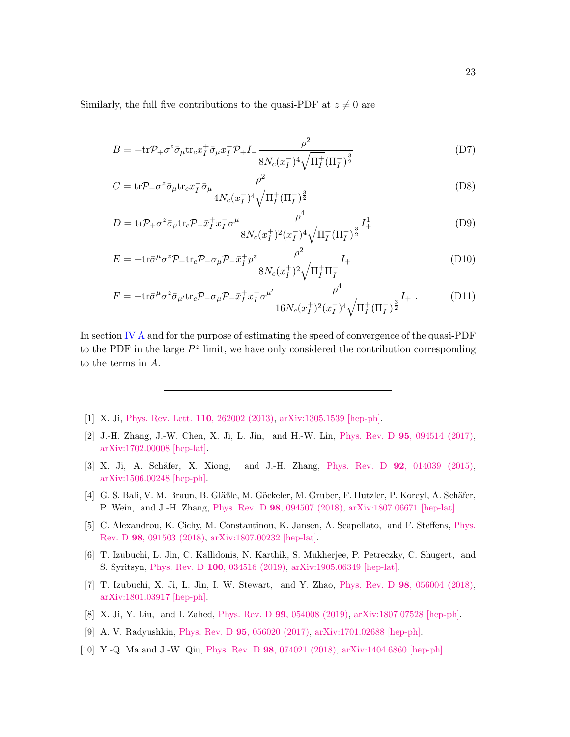Similarly, the full five contributions to the quasi-PDF at  $z \neq 0$  are

$$
B = -\text{tr}\mathcal{P}_+\sigma^z \bar{\sigma}_{\mu}\text{tr}_c x_I^+ \bar{\sigma}_{\mu} x_I^- \mathcal{P}_+ I_- \frac{\rho^2}{8N_c(x_I^-)^4 \sqrt{\Pi_I^+( \Pi_I^-)^{\frac{3}{2}}}}
$$
(D7)

$$
C = \text{tr}\mathcal{P}_+ \sigma^z \bar{\sigma}_{\mu} \text{tr}_c x_I^- \bar{\sigma}_{\mu} \frac{\rho^2}{4N_c(x_I^-)^4 \sqrt{\Pi_I^+} (\Pi_I^-)^{\frac{3}{2}}} \tag{D8}
$$

$$
D = \text{tr} \mathcal{P}_{+} \sigma^{z} \bar{\sigma}_{\mu} \text{tr}_{c} \mathcal{P}_{-} \bar{x}_{I}^{+} x_{I}^{-} \sigma^{\mu} \frac{\rho^{4}}{8N_{c}(x_{I}^{+})^{2}(x_{I}^{-})^{4} \sqrt{\Pi_{I}^{+}} (\Pi_{I}^{-})^{\frac{3}{2}}} I_{+}^{1}
$$
(D9)

$$
E = -\text{tr}\bar{\sigma}^{\mu}\sigma^z \mathcal{P}_{+}\text{tr}_c \mathcal{P}_{-}\sigma_{\mu} \mathcal{P}_{-}\bar{x}_I^+ p^z \frac{\rho^2}{8N_c(x_I^+)^2 \sqrt{\Pi_I^+ \Pi_I^-}} I_+ \tag{D10}
$$

$$
F = -\text{tr}\bar{\sigma}^{\mu}\sigma^{z}\bar{\sigma}_{\mu'}\text{tr}_{c}P_{-}\sigma_{\mu}P_{-}\bar{x}_{I}^{+}x_{I}^{-}\sigma^{\mu'}\frac{\rho^{4}}{16N_{c}(x_{I}^{+})^{2}(x_{I}^{-})^{4}\sqrt{\Pi_{I}^{+}}(\Pi_{I}^{-})^{\frac{3}{2}}}I_{+}.
$$
 (D11)

In section [IV A](#page-7-2) and for the purpose of estimating the speed of convergence of the quasi-PDF to the PDF in the large  $P^z$  limit, we have only considered the contribution corresponding to the terms in A.

- <span id="page-22-0"></span>[1] X. Ji, [Phys. Rev. Lett.](http://dx.doi.org/10.1103/PhysRevLett.110.262002) 110, 262002 (2013), [arXiv:1305.1539 \[hep-ph\].](http://arxiv.org/abs/1305.1539)
- <span id="page-22-1"></span>[2] J.-H. Zhang, J.-W. Chen, X. Ji, L. Jin, and H.-W. Lin, Phys. Rev. D 95[, 094514 \(2017\),](http://dx.doi.org/ 10.1103/PhysRevD.95.094514) [arXiv:1702.00008 \[hep-lat\].](http://arxiv.org/abs/1702.00008)
- [3] X. Ji, A. Schäfer, X. Xiong, and J.-H. Zhang, Phys. Rev. D 92[, 014039 \(2015\),](http://dx.doi.org/ 10.1103/PhysRevD.92.014039) [arXiv:1506.00248 \[hep-ph\].](http://arxiv.org/abs/1506.00248)
- [4] G. S. Bali, V. M. Braun, B. Gläßle, M. Göckeler, M. Gruber, F. Hutzler, P. Korcyl, A. Schäfer, P. Wein, and J.-H. Zhang, Phys. Rev. D 98[, 094507 \(2018\),](http://dx.doi.org/10.1103/PhysRevD.98.094507) [arXiv:1807.06671 \[hep-lat\].](http://arxiv.org/abs/1807.06671)
- [5] C. Alexandrou, K. Cichy, M. Constantinou, K. Jansen, A. Scapellato, and F. Steffens, [Phys.](http://dx.doi.org/ 10.1103/PhysRevD.98.091503) Rev. D 98[, 091503 \(2018\),](http://dx.doi.org/ 10.1103/PhysRevD.98.091503) [arXiv:1807.00232 \[hep-lat\].](http://arxiv.org/abs/1807.00232)
- [6] T. Izubuchi, L. Jin, C. Kallidonis, N. Karthik, S. Mukherjee, P. Petreczky, C. Shugert, and S. Syritsyn, Phys. Rev. D 100[, 034516 \(2019\),](http://dx.doi.org/ 10.1103/PhysRevD.100.034516) [arXiv:1905.06349 \[hep-lat\].](http://arxiv.org/abs/1905.06349)
- <span id="page-22-2"></span>[7] T. Izubuchi, X. Ji, L. Jin, I. W. Stewart, and Y. Zhao, Phys. Rev. D 98[, 056004 \(2018\),](http://dx.doi.org/ 10.1103/PhysRevD.98.056004) [arXiv:1801.03917 \[hep-ph\].](http://arxiv.org/abs/1801.03917)
- <span id="page-22-3"></span>[8] X. Ji, Y. Liu, and I. Zahed, Phys. Rev. D 99[, 054008 \(2019\),](http://dx.doi.org/10.1103/PhysRevD.99.054008) [arXiv:1807.07528 \[hep-ph\].](http://arxiv.org/abs/1807.07528)
- <span id="page-22-4"></span>[9] A. V. Radyushkin, Phys. Rev. D 95[, 056020 \(2017\),](http://dx.doi.org/10.1103/PhysRevD.95.056020) [arXiv:1701.02688 \[hep-ph\].](http://arxiv.org/abs/1701.02688)
- <span id="page-22-5"></span>[10] Y.-Q. Ma and J.-W. Qiu, Phys. Rev. D 98[, 074021 \(2018\),](http://dx.doi.org/10.1103/PhysRevD.98.074021) [arXiv:1404.6860 \[hep-ph\].](http://arxiv.org/abs/1404.6860)